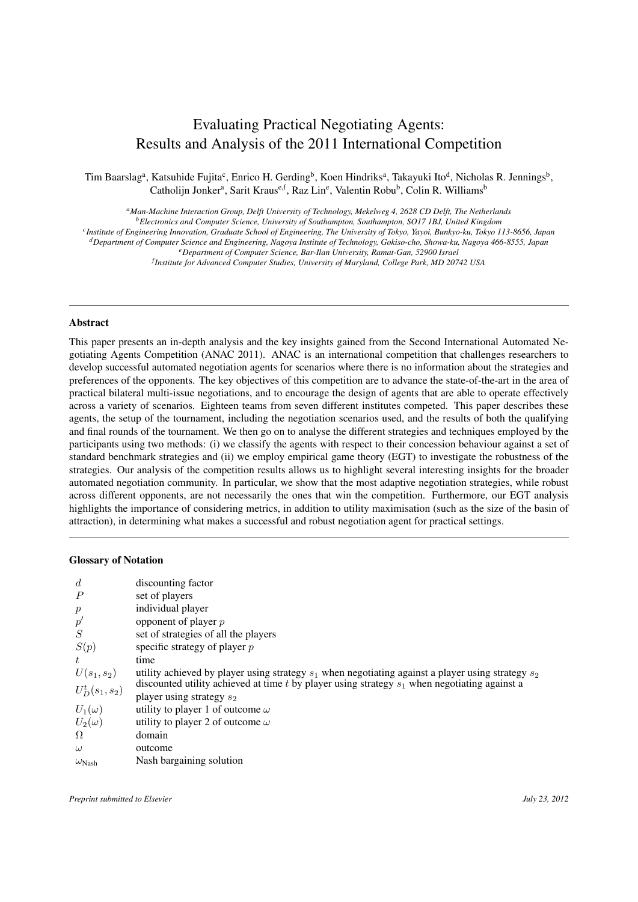# Evaluating Practical Negotiating Agents: Results and Analysis of the 2011 International Competition

Tim Baarslag<sup>a</sup>, Katsuhide Fujita<sup>c</sup>, Enrico H. Gerding<sup>b</sup>, Koen Hindriks<sup>a</sup>, Takayuki Ito<sup>d</sup>, Nicholas R. Jennings<sup>b</sup>, Catholijn Jonker<sup>a</sup>, Sarit Kraus<sup>e,f</sup>, Raz Lin<sup>e</sup>, Valentin Robu<sup>b</sup>, Colin R. Williams<sup>b</sup>

*<sup>a</sup>Man-Machine Interaction Group, Delft University of Technology, Mekelweg 4, 2628 CD Delft, The Netherlands*

- *<sup>b</sup>Electronics and Computer Science, University of Southampton, Southampton, SO17 1BJ, United Kingdom*
- *c Institute of Engineering Innovation, Graduate School of Engineering, The University of Tokyo, Yayoi, Bunkyo-ku, Tokyo 113-8656, Japan*

*<sup>d</sup>Department of Computer Science and Engineering, Nagoya Institute of Technology, Gokiso-cho, Showa-ku, Nagoya 466-8555, Japan*

*<sup>e</sup>Department of Computer Science, Bar-Ilan University, Ramat-Gan, 52900 Israel*

*f Institute for Advanced Computer Studies, University of Maryland, College Park, MD 20742 USA*

# Abstract

This paper presents an in-depth analysis and the key insights gained from the Second International Automated Negotiating Agents Competition (ANAC 2011). ANAC is an international competition that challenges researchers to develop successful automated negotiation agents for scenarios where there is no information about the strategies and preferences of the opponents. The key objectives of this competition are to advance the state-of-the-art in the area of practical bilateral multi-issue negotiations, and to encourage the design of agents that are able to operate effectively across a variety of scenarios. Eighteen teams from seven different institutes competed. This paper describes these agents, the setup of the tournament, including the negotiation scenarios used, and the results of both the qualifying and final rounds of the tournament. We then go on to analyse the different strategies and techniques employed by the participants using two methods: (i) we classify the agents with respect to their concession behaviour against a set of standard benchmark strategies and (ii) we employ empirical game theory (EGT) to investigate the robustness of the strategies. Our analysis of the competition results allows us to highlight several interesting insights for the broader automated negotiation community. In particular, we show that the most adaptive negotiation strategies, while robust across different opponents, are not necessarily the ones that win the competition. Furthermore, our EGT analysis highlights the importance of considering metrics, in addition to utility maximisation (such as the size of the basin of attraction), in determining what makes a successful and robust negotiation agent for practical settings.

#### Glossary of Notation

| $\overline{d}$      | discounting factor                                                                                     |
|---------------------|--------------------------------------------------------------------------------------------------------|
|                     | set of players                                                                                         |
| $\boldsymbol{p}$    | individual player                                                                                      |
| $p^{\prime}$        | opponent of player $p$                                                                                 |
| $\overline{S}$      | set of strategies of all the players                                                                   |
| S(p)                | specific strategy of player $p$                                                                        |
| t.                  | time                                                                                                   |
| $U(s_1,s_2)$        | utility achieved by player using strategy $s_1$ when negotiating against a player using strategy $s_2$ |
| $U_D^t(s_1, s_2)$   | discounted utility achieved at time $t$ by player using strategy $s_1$ when negotiating against a      |
|                     | player using strategy $s_2$                                                                            |
| $U_1(\omega)$       | utility to player 1 of outcome $\omega$                                                                |
| $U_2(\omega)$       | utility to player 2 of outcome $\omega$                                                                |
| $\Omega$            | domain                                                                                                 |
| $\omega$            | outcome                                                                                                |
| $\omega_{\rm Nash}$ | Nash bargaining solution                                                                               |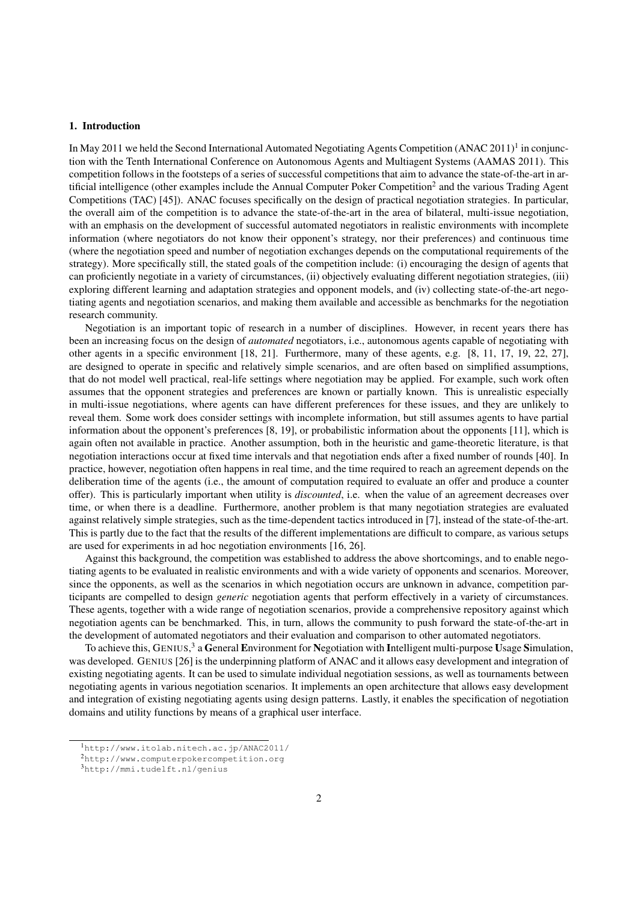# 1. Introduction

In May 2011 we held the Second International Automated Negotiating Agents Competition (ANAC 2011)<sup>1</sup> in conjunction with the Tenth International Conference on Autonomous Agents and Multiagent Systems (AAMAS 2011). This competition follows in the footsteps of a series of successful competitions that aim to advance the state-of-the-art in artificial intelligence (other examples include the Annual Computer Poker Competition<sup>2</sup> and the various Trading Agent Competitions (TAC) [45]). ANAC focuses specifically on the design of practical negotiation strategies. In particular, the overall aim of the competition is to advance the state-of-the-art in the area of bilateral, multi-issue negotiation, with an emphasis on the development of successful automated negotiators in realistic environments with incomplete information (where negotiators do not know their opponent's strategy, nor their preferences) and continuous time (where the negotiation speed and number of negotiation exchanges depends on the computational requirements of the strategy). More specifically still, the stated goals of the competition include: (i) encouraging the design of agents that can proficiently negotiate in a variety of circumstances, (ii) objectively evaluating different negotiation strategies, (iii) exploring different learning and adaptation strategies and opponent models, and (iv) collecting state-of-the-art negotiating agents and negotiation scenarios, and making them available and accessible as benchmarks for the negotiation research community.

Negotiation is an important topic of research in a number of disciplines. However, in recent years there has been an increasing focus on the design of *automated* negotiators, i.e., autonomous agents capable of negotiating with other agents in a specific environment [18, 21]. Furthermore, many of these agents, e.g. [8, 11, 17, 19, 22, 27], are designed to operate in specific and relatively simple scenarios, and are often based on simplified assumptions, that do not model well practical, real-life settings where negotiation may be applied. For example, such work often assumes that the opponent strategies and preferences are known or partially known. This is unrealistic especially in multi-issue negotiations, where agents can have different preferences for these issues, and they are unlikely to reveal them. Some work does consider settings with incomplete information, but still assumes agents to have partial information about the opponent's preferences [8, 19], or probabilistic information about the opponents [11], which is again often not available in practice. Another assumption, both in the heuristic and game-theoretic literature, is that negotiation interactions occur at fixed time intervals and that negotiation ends after a fixed number of rounds [40]. In practice, however, negotiation often happens in real time, and the time required to reach an agreement depends on the deliberation time of the agents (i.e., the amount of computation required to evaluate an offer and produce a counter offer). This is particularly important when utility is *discounted*, i.e. when the value of an agreement decreases over time, or when there is a deadline. Furthermore, another problem is that many negotiation strategies are evaluated against relatively simple strategies, such as the time-dependent tactics introduced in [7], instead of the state-of-the-art. This is partly due to the fact that the results of the different implementations are difficult to compare, as various setups are used for experiments in ad hoc negotiation environments [16, 26].

Against this background, the competition was established to address the above shortcomings, and to enable negotiating agents to be evaluated in realistic environments and with a wide variety of opponents and scenarios. Moreover, since the opponents, as well as the scenarios in which negotiation occurs are unknown in advance, competition participants are compelled to design *generic* negotiation agents that perform effectively in a variety of circumstances. These agents, together with a wide range of negotiation scenarios, provide a comprehensive repository against which negotiation agents can be benchmarked. This, in turn, allows the community to push forward the state-of-the-art in the development of automated negotiators and their evaluation and comparison to other automated negotiators.

To achieve this, GENIUS,<sup>3</sup> a General Environment for Negotiation with Intelligent multi-purpose Usage Simulation, was developed. GENIUS [26] is the underpinning platform of ANAC and it allows easy development and integration of existing negotiating agents. It can be used to simulate individual negotiation sessions, as well as tournaments between negotiating agents in various negotiation scenarios. It implements an open architecture that allows easy development and integration of existing negotiating agents using design patterns. Lastly, it enables the specification of negotiation domains and utility functions by means of a graphical user interface.

<sup>1</sup>http://www.itolab.nitech.ac.jp/ANAC2011/

<sup>2</sup>http://www.computerpokercompetition.org

<sup>3</sup>http://mmi.tudelft.nl/genius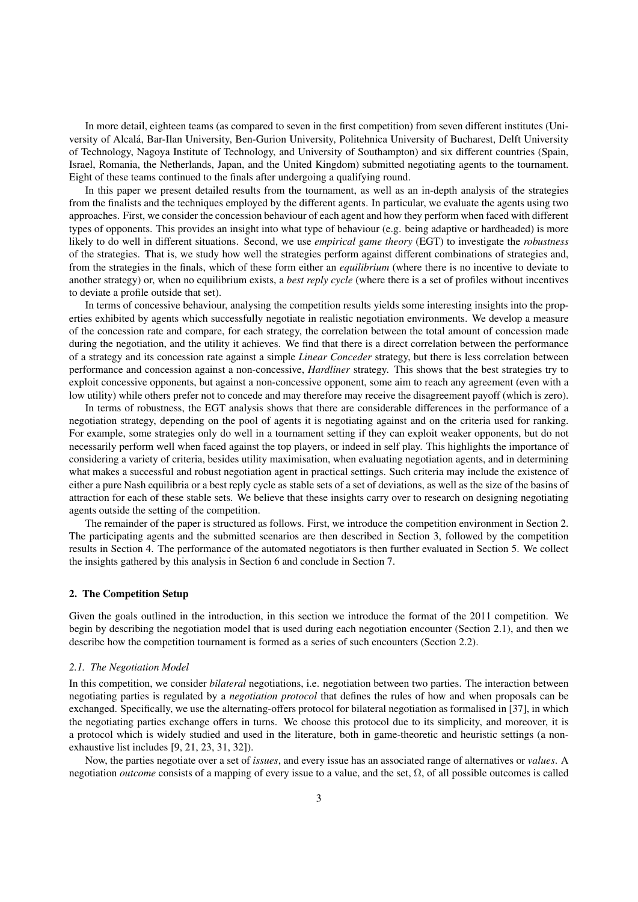In more detail, eighteen teams (as compared to seven in the first competition) from seven different institutes (University of Alcala, Bar-Ilan University, Ben-Gurion University, Politehnica University of Bucharest, Delft University ´ of Technology, Nagoya Institute of Technology, and University of Southampton) and six different countries (Spain, Israel, Romania, the Netherlands, Japan, and the United Kingdom) submitted negotiating agents to the tournament. Eight of these teams continued to the finals after undergoing a qualifying round.

In this paper we present detailed results from the tournament, as well as an in-depth analysis of the strategies from the finalists and the techniques employed by the different agents. In particular, we evaluate the agents using two approaches. First, we consider the concession behaviour of each agent and how they perform when faced with different types of opponents. This provides an insight into what type of behaviour (e.g. being adaptive or hardheaded) is more likely to do well in different situations. Second, we use *empirical game theory* (EGT) to investigate the *robustness* of the strategies. That is, we study how well the strategies perform against different combinations of strategies and, from the strategies in the finals, which of these form either an *equilibrium* (where there is no incentive to deviate to another strategy) or, when no equilibrium exists, a *best reply cycle* (where there is a set of profiles without incentives to deviate a profile outside that set).

In terms of concessive behaviour, analysing the competition results yields some interesting insights into the properties exhibited by agents which successfully negotiate in realistic negotiation environments. We develop a measure of the concession rate and compare, for each strategy, the correlation between the total amount of concession made during the negotiation, and the utility it achieves. We find that there is a direct correlation between the performance of a strategy and its concession rate against a simple *Linear Conceder* strategy, but there is less correlation between performance and concession against a non-concessive, *Hardliner* strategy. This shows that the best strategies try to exploit concessive opponents, but against a non-concessive opponent, some aim to reach any agreement (even with a low utility) while others prefer not to concede and may therefore may receive the disagreement payoff (which is zero).

In terms of robustness, the EGT analysis shows that there are considerable differences in the performance of a negotiation strategy, depending on the pool of agents it is negotiating against and on the criteria used for ranking. For example, some strategies only do well in a tournament setting if they can exploit weaker opponents, but do not necessarily perform well when faced against the top players, or indeed in self play. This highlights the importance of considering a variety of criteria, besides utility maximisation, when evaluating negotiation agents, and in determining what makes a successful and robust negotiation agent in practical settings. Such criteria may include the existence of either a pure Nash equilibria or a best reply cycle as stable sets of a set of deviations, as well as the size of the basins of attraction for each of these stable sets. We believe that these insights carry over to research on designing negotiating agents outside the setting of the competition.

The remainder of the paper is structured as follows. First, we introduce the competition environment in Section 2. The participating agents and the submitted scenarios are then described in Section 3, followed by the competition results in Section 4. The performance of the automated negotiators is then further evaluated in Section 5. We collect the insights gathered by this analysis in Section 6 and conclude in Section 7.

### 2. The Competition Setup

Given the goals outlined in the introduction, in this section we introduce the format of the 2011 competition. We begin by describing the negotiation model that is used during each negotiation encounter (Section 2.1), and then we describe how the competition tournament is formed as a series of such encounters (Section 2.2).

#### *2.1. The Negotiation Model*

In this competition, we consider *bilateral* negotiations, i.e. negotiation between two parties. The interaction between negotiating parties is regulated by a *negotiation protocol* that defines the rules of how and when proposals can be exchanged. Specifically, we use the alternating-offers protocol for bilateral negotiation as formalised in [37], in which the negotiating parties exchange offers in turns. We choose this protocol due to its simplicity, and moreover, it is a protocol which is widely studied and used in the literature, both in game-theoretic and heuristic settings (a nonexhaustive list includes [9, 21, 23, 31, 32]).

Now, the parties negotiate over a set of *issues*, and every issue has an associated range of alternatives or *values*. A negotiation *outcome* consists of a mapping of every issue to a value, and the set,  $\Omega$ , of all possible outcomes is called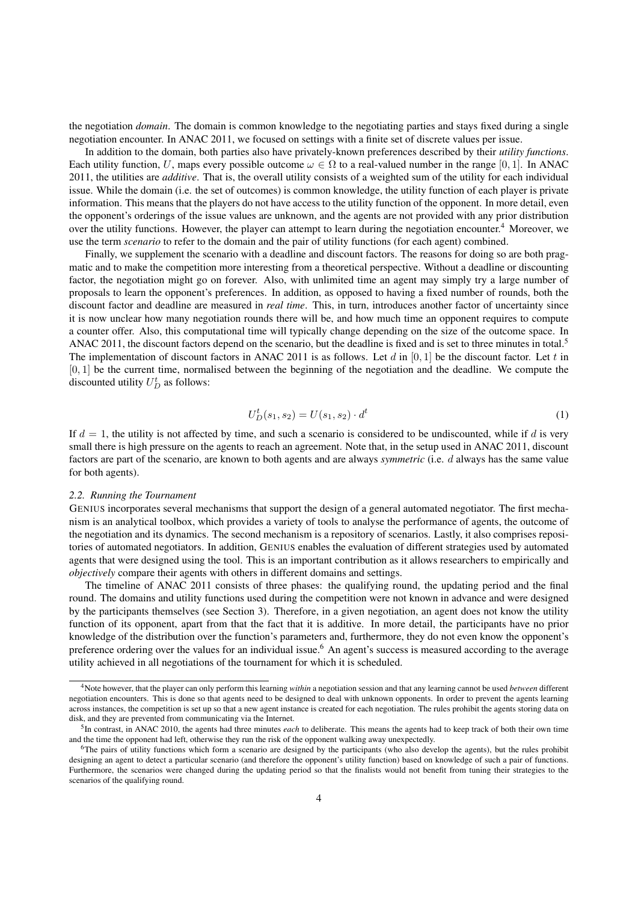the negotiation *domain*. The domain is common knowledge to the negotiating parties and stays fixed during a single negotiation encounter. In ANAC 2011, we focused on settings with a finite set of discrete values per issue.

In addition to the domain, both parties also have privately-known preferences described by their *utility functions*. Each utility function, U, maps every possible outcome  $\omega \in \Omega$  to a real-valued number in the range [0, 1]. In ANAC 2011, the utilities are *additive*. That is, the overall utility consists of a weighted sum of the utility for each individual issue. While the domain (i.e. the set of outcomes) is common knowledge, the utility function of each player is private information. This means that the players do not have access to the utility function of the opponent. In more detail, even the opponent's orderings of the issue values are unknown, and the agents are not provided with any prior distribution over the utility functions. However, the player can attempt to learn during the negotiation encounter.<sup>4</sup> Moreover, we use the term *scenario* to refer to the domain and the pair of utility functions (for each agent) combined.

Finally, we supplement the scenario with a deadline and discount factors. The reasons for doing so are both pragmatic and to make the competition more interesting from a theoretical perspective. Without a deadline or discounting factor, the negotiation might go on forever. Also, with unlimited time an agent may simply try a large number of proposals to learn the opponent's preferences. In addition, as opposed to having a fixed number of rounds, both the discount factor and deadline are measured in *real time*. This, in turn, introduces another factor of uncertainty since it is now unclear how many negotiation rounds there will be, and how much time an opponent requires to compute a counter offer. Also, this computational time will typically change depending on the size of the outcome space. In ANAC 2011, the discount factors depend on the scenario, but the deadline is fixed and is set to three minutes in total.<sup>5</sup> The implementation of discount factors in ANAC 2011 is as follows. Let d in  $[0,1]$  be the discount factor. Let t in [0, 1] be the current time, normalised between the beginning of the negotiation and the deadline. We compute the discounted utility  $U_D^t$  as follows:

$$
U_D^t(s_1, s_2) = U(s_1, s_2) \cdot d^t \tag{1}
$$

If  $d = 1$ , the utility is not affected by time, and such a scenario is considered to be undiscounted, while if d is very small there is high pressure on the agents to reach an agreement. Note that, in the setup used in ANAC 2011, discount factors are part of the scenario, are known to both agents and are always *symmetric* (i.e. d always has the same value for both agents).

#### *2.2. Running the Tournament*

GENIUS incorporates several mechanisms that support the design of a general automated negotiator. The first mechanism is an analytical toolbox, which provides a variety of tools to analyse the performance of agents, the outcome of the negotiation and its dynamics. The second mechanism is a repository of scenarios. Lastly, it also comprises repositories of automated negotiators. In addition, GENIUS enables the evaluation of different strategies used by automated agents that were designed using the tool. This is an important contribution as it allows researchers to empirically and *objectively* compare their agents with others in different domains and settings.

The timeline of ANAC 2011 consists of three phases: the qualifying round, the updating period and the final round. The domains and utility functions used during the competition were not known in advance and were designed by the participants themselves (see Section 3). Therefore, in a given negotiation, an agent does not know the utility function of its opponent, apart from that the fact that it is additive. In more detail, the participants have no prior knowledge of the distribution over the function's parameters and, furthermore, they do not even know the opponent's preference ordering over the values for an individual issue.<sup>6</sup> An agent's success is measured according to the average utility achieved in all negotiations of the tournament for which it is scheduled.

<sup>4</sup>Note however, that the player can only perform this learning *within* a negotiation session and that any learning cannot be used *between* different negotiation encounters. This is done so that agents need to be designed to deal with unknown opponents. In order to prevent the agents learning across instances, the competition is set up so that a new agent instance is created for each negotiation. The rules prohibit the agents storing data on disk, and they are prevented from communicating via the Internet.

<sup>5</sup> In contrast, in ANAC 2010, the agents had three minutes *each* to deliberate. This means the agents had to keep track of both their own time and the time the opponent had left, otherwise they run the risk of the opponent walking away unexpectedly.

<sup>&</sup>lt;sup>6</sup>The pairs of utility functions which form a scenario are designed by the participants (who also develop the agents), but the rules prohibit designing an agent to detect a particular scenario (and therefore the opponent's utility function) based on knowledge of such a pair of functions. Furthermore, the scenarios were changed during the updating period so that the finalists would not benefit from tuning their strategies to the scenarios of the qualifying round.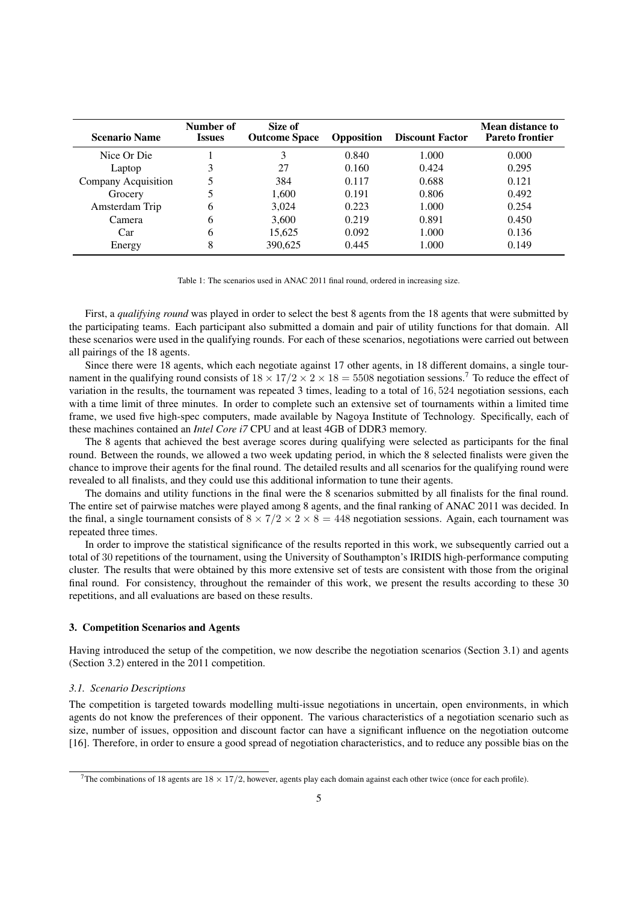| <b>Scenario Name</b> | Number of<br><b>Issues</b> | Size of<br><b>Outcome Space</b> | <b>Opposition</b> | <b>Discount Factor</b> | Mean distance to<br>Pareto frontier |
|----------------------|----------------------------|---------------------------------|-------------------|------------------------|-------------------------------------|
| Nice Or Die          |                            | 3                               | 0.840             | 1.000                  | 0.000                               |
| Laptop               |                            | 27                              | 0.160             | 0.424                  | 0.295                               |
| Company Acquisition  |                            | 384                             | 0.117             | 0.688                  | 0.121                               |
| Grocery              |                            | 1,600                           | 0.191             | 0.806                  | 0.492                               |
| Amsterdam Trip       | 6                          | 3,024                           | 0.223             | 1.000                  | 0.254                               |
| Camera               | 6                          | 3,600                           | 0.219             | 0.891                  | 0.450                               |
| Car                  | 6                          | 15,625                          | 0.092             | 1.000                  | 0.136                               |
| Energy               | 8                          | 390.625                         | 0.445             | 1.000                  | 0.149                               |

Table 1: The scenarios used in ANAC 2011 final round, ordered in increasing size.

First, a *qualifying round* was played in order to select the best 8 agents from the 18 agents that were submitted by the participating teams. Each participant also submitted a domain and pair of utility functions for that domain. All these scenarios were used in the qualifying rounds. For each of these scenarios, negotiations were carried out between all pairings of the 18 agents.

Since there were 18 agents, which each negotiate against 17 other agents, in 18 different domains, a single tournament in the qualifying round consists of  $18 \times 17/2 \times 2 \times 18 = 5508$  negotiation sessions.<sup>7</sup> To reduce the effect of variation in the results, the tournament was repeated 3 times, leading to a total of 16, 524 negotiation sessions, each with a time limit of three minutes. In order to complete such an extensive set of tournaments within a limited time frame, we used five high-spec computers, made available by Nagoya Institute of Technology. Specifically, each of these machines contained an *Intel Core i7* CPU and at least 4GB of DDR3 memory.

The 8 agents that achieved the best average scores during qualifying were selected as participants for the final round. Between the rounds, we allowed a two week updating period, in which the 8 selected finalists were given the chance to improve their agents for the final round. The detailed results and all scenarios for the qualifying round were revealed to all finalists, and they could use this additional information to tune their agents.

The domains and utility functions in the final were the 8 scenarios submitted by all finalists for the final round. The entire set of pairwise matches were played among 8 agents, and the final ranking of ANAC 2011 was decided. In the final, a single tournament consists of  $8 \times 7/2 \times 2 \times 8 = 448$  negotiation sessions. Again, each tournament was repeated three times.

In order to improve the statistical significance of the results reported in this work, we subsequently carried out a total of 30 repetitions of the tournament, using the University of Southampton's IRIDIS high-performance computing cluster. The results that were obtained by this more extensive set of tests are consistent with those from the original final round. For consistency, throughout the remainder of this work, we present the results according to these 30 repetitions, and all evaluations are based on these results.

# 3. Competition Scenarios and Agents

Having introduced the setup of the competition, we now describe the negotiation scenarios (Section 3.1) and agents (Section 3.2) entered in the 2011 competition.

#### *3.1. Scenario Descriptions*

The competition is targeted towards modelling multi-issue negotiations in uncertain, open environments, in which agents do not know the preferences of their opponent. The various characteristics of a negotiation scenario such as size, number of issues, opposition and discount factor can have a significant influence on the negotiation outcome [16]. Therefore, in order to ensure a good spread of negotiation characteristics, and to reduce any possible bias on the

<sup>&</sup>lt;sup>7</sup>The combinations of 18 agents are  $18 \times 17/2$ , however, agents play each domain against each other twice (once for each profile).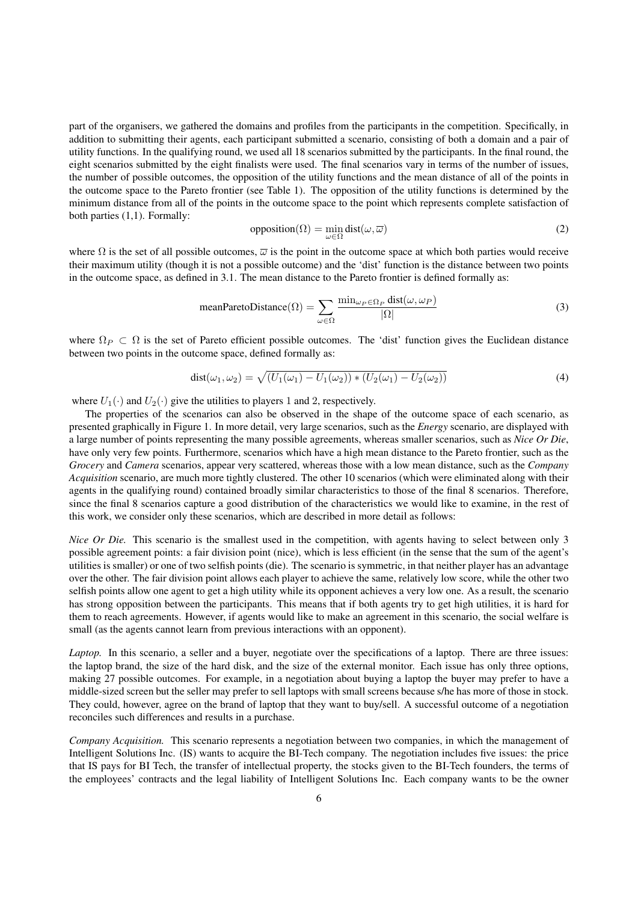part of the organisers, we gathered the domains and profiles from the participants in the competition. Specifically, in addition to submitting their agents, each participant submitted a scenario, consisting of both a domain and a pair of utility functions. In the qualifying round, we used all 18 scenarios submitted by the participants. In the final round, the eight scenarios submitted by the eight finalists were used. The final scenarios vary in terms of the number of issues, the number of possible outcomes, the opposition of the utility functions and the mean distance of all of the points in the outcome space to the Pareto frontier (see Table 1). The opposition of the utility functions is determined by the minimum distance from all of the points in the outcome space to the point which represents complete satisfaction of both parties (1,1). Formally:

$$
opposition(\Omega) = \min_{\omega \in \Omega} dist(\omega, \overline{\omega})
$$
\n(2)

where  $\Omega$  is the set of all possible outcomes,  $\overline{\omega}$  is the point in the outcome space at which both parties would receive their maximum utility (though it is not a possible outcome) and the 'dist' function is the distance between two points in the outcome space, as defined in 3.1. The mean distance to the Pareto frontier is defined formally as:

meanParetoDistance(
$$
\Omega
$$
) = 
$$
\sum_{\omega \in \Omega} \frac{\min_{\omega_P \in \Omega_P} \text{dist}(\omega, \omega_P)}{|\Omega|}
$$
(3)

where  $\Omega_P \subset \Omega$  is the set of Pareto efficient possible outcomes. The 'dist' function gives the Euclidean distance between two points in the outcome space, defined formally as:

$$
dist(\omega_1, \omega_2) = \sqrt{(U_1(\omega_1) - U_1(\omega_2)) * (U_2(\omega_1) - U_2(\omega_2))}
$$
\n(4)

where  $U_1(\cdot)$  and  $U_2(\cdot)$  give the utilities to players 1 and 2, respectively.

The properties of the scenarios can also be observed in the shape of the outcome space of each scenario, as presented graphically in Figure 1. In more detail, very large scenarios, such as the *Energy* scenario, are displayed with a large number of points representing the many possible agreements, whereas smaller scenarios, such as *Nice Or Die*, have only very few points. Furthermore, scenarios which have a high mean distance to the Pareto frontier, such as the *Grocery* and *Camera* scenarios, appear very scattered, whereas those with a low mean distance, such as the *Company Acquisition* scenario, are much more tightly clustered. The other 10 scenarios (which were eliminated along with their agents in the qualifying round) contained broadly similar characteristics to those of the final 8 scenarios. Therefore, since the final 8 scenarios capture a good distribution of the characteristics we would like to examine, in the rest of this work, we consider only these scenarios, which are described in more detail as follows:

*Nice Or Die.* This scenario is the smallest used in the competition, with agents having to select between only 3 possible agreement points: a fair division point (nice), which is less efficient (in the sense that the sum of the agent's utilities is smaller) or one of two selfish points (die). The scenario is symmetric, in that neither player has an advantage over the other. The fair division point allows each player to achieve the same, relatively low score, while the other two selfish points allow one agent to get a high utility while its opponent achieves a very low one. As a result, the scenario has strong opposition between the participants. This means that if both agents try to get high utilities, it is hard for them to reach agreements. However, if agents would like to make an agreement in this scenario, the social welfare is small (as the agents cannot learn from previous interactions with an opponent).

*Laptop.* In this scenario, a seller and a buyer, negotiate over the specifications of a laptop. There are three issues: the laptop brand, the size of the hard disk, and the size of the external monitor. Each issue has only three options, making 27 possible outcomes. For example, in a negotiation about buying a laptop the buyer may prefer to have a middle-sized screen but the seller may prefer to sell laptops with small screens because s/he has more of those in stock. They could, however, agree on the brand of laptop that they want to buy/sell. A successful outcome of a negotiation reconciles such differences and results in a purchase.

*Company Acquisition.* This scenario represents a negotiation between two companies, in which the management of Intelligent Solutions Inc. (IS) wants to acquire the BI-Tech company. The negotiation includes five issues: the price that IS pays for BI Tech, the transfer of intellectual property, the stocks given to the BI-Tech founders, the terms of the employees' contracts and the legal liability of Intelligent Solutions Inc. Each company wants to be the owner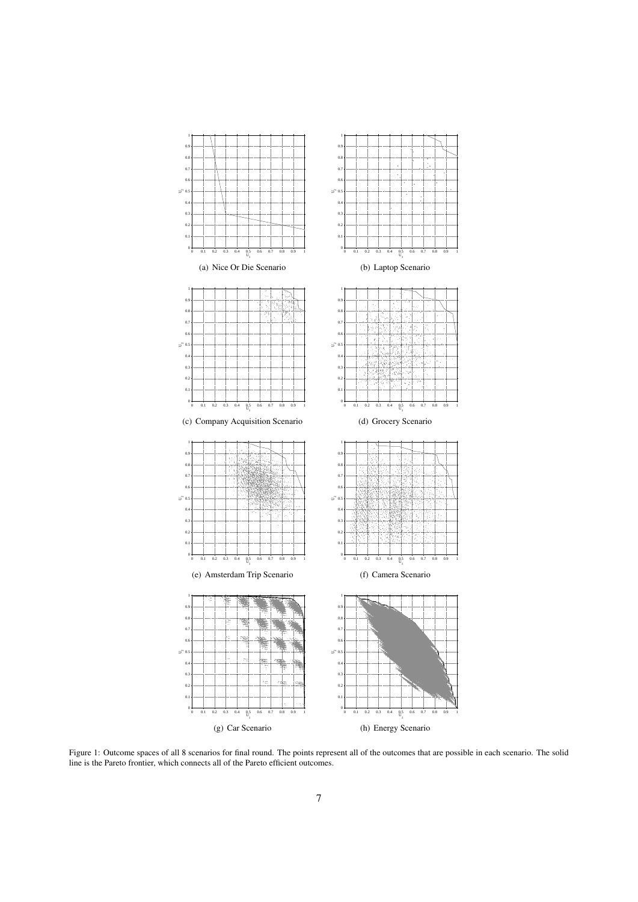

Figure 1: Outcome spaces of all 8 scenarios for final round. The points represent all of the outcomes that are possible in each scenario. The solid line is the Pareto frontier, which connects all of the Pareto efficient outcomes.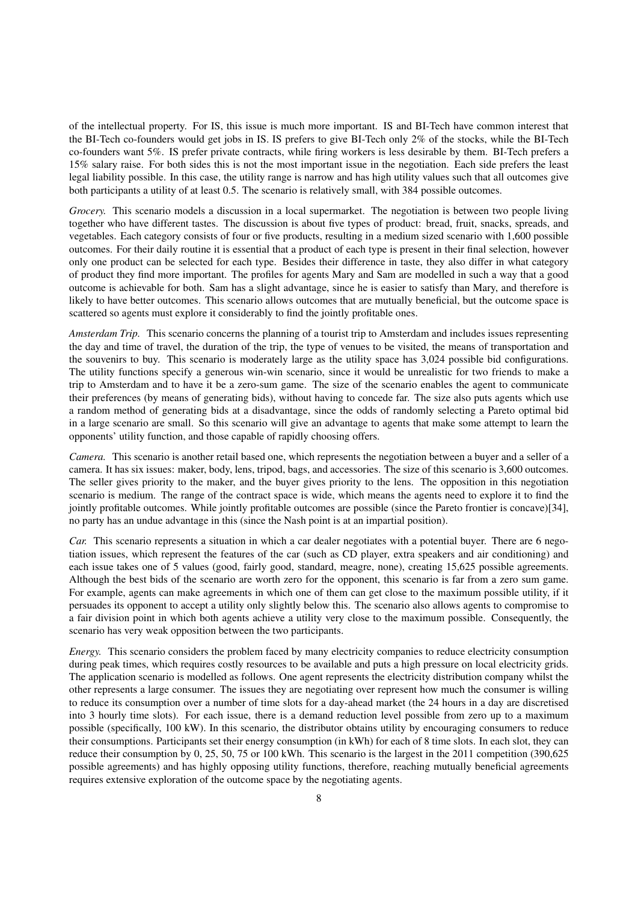of the intellectual property. For IS, this issue is much more important. IS and BI-Tech have common interest that the BI-Tech co-founders would get jobs in IS. IS prefers to give BI-Tech only 2% of the stocks, while the BI-Tech co-founders want 5%. IS prefer private contracts, while firing workers is less desirable by them. BI-Tech prefers a 15% salary raise. For both sides this is not the most important issue in the negotiation. Each side prefers the least legal liability possible. In this case, the utility range is narrow and has high utility values such that all outcomes give both participants a utility of at least 0.5. The scenario is relatively small, with 384 possible outcomes.

*Grocery.* This scenario models a discussion in a local supermarket. The negotiation is between two people living together who have different tastes. The discussion is about five types of product: bread, fruit, snacks, spreads, and vegetables. Each category consists of four or five products, resulting in a medium sized scenario with 1,600 possible outcomes. For their daily routine it is essential that a product of each type is present in their final selection, however only one product can be selected for each type. Besides their difference in taste, they also differ in what category of product they find more important. The profiles for agents Mary and Sam are modelled in such a way that a good outcome is achievable for both. Sam has a slight advantage, since he is easier to satisfy than Mary, and therefore is likely to have better outcomes. This scenario allows outcomes that are mutually beneficial, but the outcome space is scattered so agents must explore it considerably to find the jointly profitable ones.

*Amsterdam Trip.* This scenario concerns the planning of a tourist trip to Amsterdam and includes issues representing the day and time of travel, the duration of the trip, the type of venues to be visited, the means of transportation and the souvenirs to buy. This scenario is moderately large as the utility space has 3,024 possible bid configurations. The utility functions specify a generous win-win scenario, since it would be unrealistic for two friends to make a trip to Amsterdam and to have it be a zero-sum game. The size of the scenario enables the agent to communicate their preferences (by means of generating bids), without having to concede far. The size also puts agents which use a random method of generating bids at a disadvantage, since the odds of randomly selecting a Pareto optimal bid in a large scenario are small. So this scenario will give an advantage to agents that make some attempt to learn the opponents' utility function, and those capable of rapidly choosing offers.

*Camera.* This scenario is another retail based one, which represents the negotiation between a buyer and a seller of a camera. It has six issues: maker, body, lens, tripod, bags, and accessories. The size of this scenario is 3,600 outcomes. The seller gives priority to the maker, and the buyer gives priority to the lens. The opposition in this negotiation scenario is medium. The range of the contract space is wide, which means the agents need to explore it to find the jointly profitable outcomes. While jointly profitable outcomes are possible (since the Pareto frontier is concave)[34], no party has an undue advantage in this (since the Nash point is at an impartial position).

*Car.* This scenario represents a situation in which a car dealer negotiates with a potential buyer. There are 6 negotiation issues, which represent the features of the car (such as CD player, extra speakers and air conditioning) and each issue takes one of 5 values (good, fairly good, standard, meagre, none), creating 15,625 possible agreements. Although the best bids of the scenario are worth zero for the opponent, this scenario is far from a zero sum game. For example, agents can make agreements in which one of them can get close to the maximum possible utility, if it persuades its opponent to accept a utility only slightly below this. The scenario also allows agents to compromise to a fair division point in which both agents achieve a utility very close to the maximum possible. Consequently, the scenario has very weak opposition between the two participants.

*Energy.* This scenario considers the problem faced by many electricity companies to reduce electricity consumption during peak times, which requires costly resources to be available and puts a high pressure on local electricity grids. The application scenario is modelled as follows. One agent represents the electricity distribution company whilst the other represents a large consumer. The issues they are negotiating over represent how much the consumer is willing to reduce its consumption over a number of time slots for a day-ahead market (the 24 hours in a day are discretised into 3 hourly time slots). For each issue, there is a demand reduction level possible from zero up to a maximum possible (specifically, 100 kW). In this scenario, the distributor obtains utility by encouraging consumers to reduce their consumptions. Participants set their energy consumption (in kWh) for each of 8 time slots. In each slot, they can reduce their consumption by 0, 25, 50, 75 or 100 kWh. This scenario is the largest in the 2011 competition (390,625 possible agreements) and has highly opposing utility functions, therefore, reaching mutually beneficial agreements requires extensive exploration of the outcome space by the negotiating agents.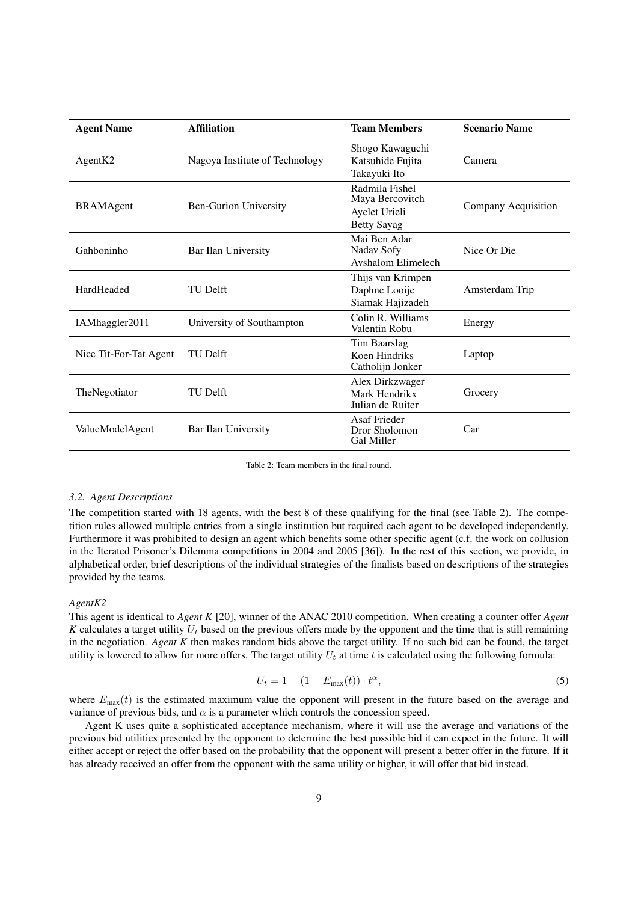| <b>Affiliation</b><br><b>Agent Name</b> |                                | <b>Team Members</b>                                                      | <b>Scenario Name</b> |
|-----------------------------------------|--------------------------------|--------------------------------------------------------------------------|----------------------|
| Agent <sub>K2</sub>                     | Nagoya Institute of Technology | Shogo Kawaguchi<br>Katsuhide Fujita<br>Takayuki Ito                      | Camera               |
| <b>BRAMAgent</b>                        | <b>Ben-Gurion University</b>   | Radmila Fishel<br>Maya Bercovitch<br>Ayelet Urieli<br><b>Betty Sayag</b> | Company Acquisition  |
| Gahboninho                              | Bar Ilan University            | Mai Ben Adar<br>Nadav Sofy<br>Avshalom Elimelech                         | Nice Or Die          |
| HardHeaded                              | <b>TU</b> Delft                | Thijs van Krimpen<br>Daphne Looije<br>Siamak Hajizadeh                   | Amsterdam Trip       |
| IAMhaggler2011                          | University of Southampton      | Colin R. Williams<br>Valentin Robu                                       | Energy               |
| Nice Tit-For-Tat Agent                  | <b>TU</b> Delft                | <b>Tim Baarslag</b><br>Koen Hindriks<br>Catholijn Jonker                 | Laptop               |
| TheNegotiator                           | <b>TU Delft</b>                | Alex Dirkzwager<br>Mark Hendrikx<br>Julian de Ruiter                     | Grocery              |
| ValueModelAgent                         | Bar Ilan University            | Asaf Frieder<br>Dror Sholomon<br><b>Gal Miller</b>                       | Car                  |

| Table 2: Team members in the final round. |  |  |  |  |
|-------------------------------------------|--|--|--|--|
|-------------------------------------------|--|--|--|--|

# *3.2. Agent Descriptions*

The competition started with 18 agents, with the best 8 of these qualifying for the final (see Table 2). The competition rules allowed multiple entries from a single institution but required each agent to be developed independently. Furthermore it was prohibited to design an agent which benefits some other specific agent (c.f. the work on collusion in the Iterated Prisoner's Dilemma competitions in 2004 and 2005 [36]). In the rest of this section, we provide, in alphabetical order, brief descriptions of the individual strategies of the finalists based on descriptions of the strategies provided by the teams.

#### *AgentK2*

This agent is identical to *Agent K* [20], winner of the ANAC 2010 competition. When creating a counter offer *Agent* K calculates a target utility  $U_t$  based on the previous offers made by the opponent and the time that is still remaining in the negotiation. *Agent K* then makes random bids above the target utility. If no such bid can be found, the target utility is lowered to allow for more offers. The target utility  $U_t$  at time t is calculated using the following formula:

$$
U_t = 1 - (1 - E_{\text{max}}(t)) \cdot t^{\alpha}, \tag{5}
$$

where  $E_{\text{max}}(t)$  is the estimated maximum value the opponent will present in the future based on the average and variance of previous bids, and  $\alpha$  is a parameter which controls the concession speed.

Agent K uses quite a sophisticated acceptance mechanism, where it will use the average and variations of the previous bid utilities presented by the opponent to determine the best possible bid it can expect in the future. It will either accept or reject the offer based on the probability that the opponent will present a better offer in the future. If it has already received an offer from the opponent with the same utility or higher, it will offer that bid instead.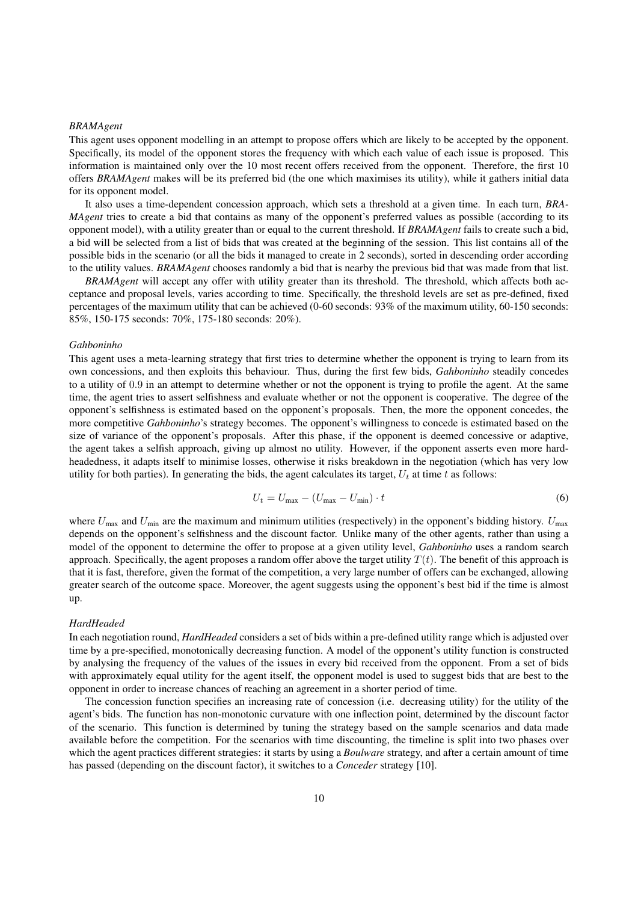## *BRAMAgent*

This agent uses opponent modelling in an attempt to propose offers which are likely to be accepted by the opponent. Specifically, its model of the opponent stores the frequency with which each value of each issue is proposed. This information is maintained only over the 10 most recent offers received from the opponent. Therefore, the first 10 offers *BRAMAgent* makes will be its preferred bid (the one which maximises its utility), while it gathers initial data for its opponent model.

It also uses a time-dependent concession approach, which sets a threshold at a given time. In each turn, *BRA-MAgent* tries to create a bid that contains as many of the opponent's preferred values as possible (according to its opponent model), with a utility greater than or equal to the current threshold. If *BRAMAgent* fails to create such a bid, a bid will be selected from a list of bids that was created at the beginning of the session. This list contains all of the possible bids in the scenario (or all the bids it managed to create in 2 seconds), sorted in descending order according to the utility values. *BRAMAgent* chooses randomly a bid that is nearby the previous bid that was made from that list.

*BRAMAgent* will accept any offer with utility greater than its threshold. The threshold, which affects both acceptance and proposal levels, varies according to time. Specifically, the threshold levels are set as pre-defined, fixed percentages of the maximum utility that can be achieved (0-60 seconds: 93% of the maximum utility, 60-150 seconds: 85%, 150-175 seconds: 70%, 175-180 seconds: 20%).

## *Gahboninho*

This agent uses a meta-learning strategy that first tries to determine whether the opponent is trying to learn from its own concessions, and then exploits this behaviour. Thus, during the first few bids, *Gahboninho* steadily concedes to a utility of 0.9 in an attempt to determine whether or not the opponent is trying to profile the agent. At the same time, the agent tries to assert selfishness and evaluate whether or not the opponent is cooperative. The degree of the opponent's selfishness is estimated based on the opponent's proposals. Then, the more the opponent concedes, the more competitive *Gahboninho*'s strategy becomes. The opponent's willingness to concede is estimated based on the size of variance of the opponent's proposals. After this phase, if the opponent is deemed concessive or adaptive, the agent takes a selfish approach, giving up almost no utility. However, if the opponent asserts even more hardheadedness, it adapts itself to minimise losses, otherwise it risks breakdown in the negotiation (which has very low utility for both parties). In generating the bids, the agent calculates its target,  $U_t$  at time t as follows:

$$
U_t = U_{\text{max}} - (U_{\text{max}} - U_{\text{min}}) \cdot t \tag{6}
$$

where  $U_{\text{max}}$  and  $U_{\text{min}}$  are the maximum and minimum utilities (respectively) in the opponent's bidding history.  $U_{\text{max}}$ depends on the opponent's selfishness and the discount factor. Unlike many of the other agents, rather than using a model of the opponent to determine the offer to propose at a given utility level, *Gahboninho* uses a random search approach. Specifically, the agent proposes a random offer above the target utility  $T(t)$ . The benefit of this approach is that it is fast, therefore, given the format of the competition, a very large number of offers can be exchanged, allowing greater search of the outcome space. Moreover, the agent suggests using the opponent's best bid if the time is almost up.

#### *HardHeaded*

In each negotiation round, *HardHeaded* considers a set of bids within a pre-defined utility range which is adjusted over time by a pre-specified, monotonically decreasing function. A model of the opponent's utility function is constructed by analysing the frequency of the values of the issues in every bid received from the opponent. From a set of bids with approximately equal utility for the agent itself, the opponent model is used to suggest bids that are best to the opponent in order to increase chances of reaching an agreement in a shorter period of time.

The concession function specifies an increasing rate of concession (i.e. decreasing utility) for the utility of the agent's bids. The function has non-monotonic curvature with one inflection point, determined by the discount factor of the scenario. This function is determined by tuning the strategy based on the sample scenarios and data made available before the competition. For the scenarios with time discounting, the timeline is split into two phases over which the agent practices different strategies: it starts by using a *Boulware* strategy, and after a certain amount of time has passed (depending on the discount factor), it switches to a *Conceder* strategy [10].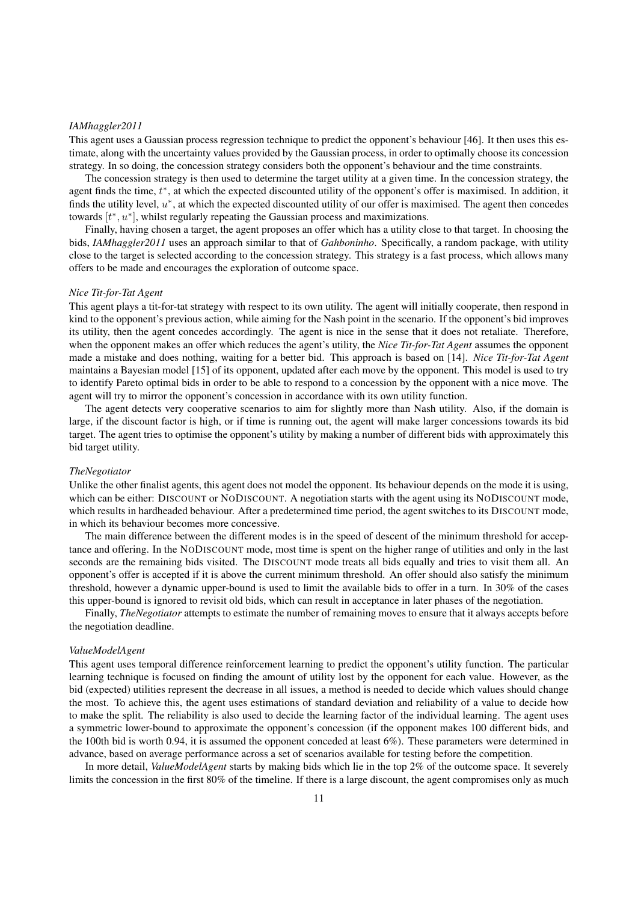## *IAMhaggler2011*

This agent uses a Gaussian process regression technique to predict the opponent's behaviour [46]. It then uses this estimate, along with the uncertainty values provided by the Gaussian process, in order to optimally choose its concession strategy. In so doing, the concession strategy considers both the opponent's behaviour and the time constraints.

The concession strategy is then used to determine the target utility at a given time. In the concession strategy, the agent finds the time,  $t^*$ , at which the expected discounted utility of the opponent's offer is maximised. In addition, it finds the utility level,  $u^*$ , at which the expected discounted utility of our offer is maximised. The agent then concedes towards  $[t^*, u^*]$ , whilst regularly repeating the Gaussian process and maximizations.

Finally, having chosen a target, the agent proposes an offer which has a utility close to that target. In choosing the bids, *IAMhaggler2011* uses an approach similar to that of *Gahboninho*. Specifically, a random package, with utility close to the target is selected according to the concession strategy. This strategy is a fast process, which allows many offers to be made and encourages the exploration of outcome space.

#### *Nice Tit-for-Tat Agent*

This agent plays a tit-for-tat strategy with respect to its own utility. The agent will initially cooperate, then respond in kind to the opponent's previous action, while aiming for the Nash point in the scenario. If the opponent's bid improves its utility, then the agent concedes accordingly. The agent is nice in the sense that it does not retaliate. Therefore, when the opponent makes an offer which reduces the agent's utility, the *Nice Tit-for-Tat Agent* assumes the opponent made a mistake and does nothing, waiting for a better bid. This approach is based on [14]. *Nice Tit-for-Tat Agent* maintains a Bayesian model [15] of its opponent, updated after each move by the opponent. This model is used to try to identify Pareto optimal bids in order to be able to respond to a concession by the opponent with a nice move. The agent will try to mirror the opponent's concession in accordance with its own utility function.

The agent detects very cooperative scenarios to aim for slightly more than Nash utility. Also, if the domain is large, if the discount factor is high, or if time is running out, the agent will make larger concessions towards its bid target. The agent tries to optimise the opponent's utility by making a number of different bids with approximately this bid target utility.

#### *TheNegotiator*

Unlike the other finalist agents, this agent does not model the opponent. Its behaviour depends on the mode it is using, which can be either: DISCOUNT or NODISCOUNT. A negotiation starts with the agent using its NODISCOUNT mode, which results in hardheaded behaviour. After a predetermined time period, the agent switches to its DISCOUNT mode, in which its behaviour becomes more concessive.

The main difference between the different modes is in the speed of descent of the minimum threshold for acceptance and offering. In the NODISCOUNT mode, most time is spent on the higher range of utilities and only in the last seconds are the remaining bids visited. The DISCOUNT mode treats all bids equally and tries to visit them all. An opponent's offer is accepted if it is above the current minimum threshold. An offer should also satisfy the minimum threshold, however a dynamic upper-bound is used to limit the available bids to offer in a turn. In 30% of the cases this upper-bound is ignored to revisit old bids, which can result in acceptance in later phases of the negotiation.

Finally, *TheNegotiator* attempts to estimate the number of remaining moves to ensure that it always accepts before the negotiation deadline.

## *ValueModelAgent*

This agent uses temporal difference reinforcement learning to predict the opponent's utility function. The particular learning technique is focused on finding the amount of utility lost by the opponent for each value. However, as the bid (expected) utilities represent the decrease in all issues, a method is needed to decide which values should change the most. To achieve this, the agent uses estimations of standard deviation and reliability of a value to decide how to make the split. The reliability is also used to decide the learning factor of the individual learning. The agent uses a symmetric lower-bound to approximate the opponent's concession (if the opponent makes 100 different bids, and the 100th bid is worth 0.94, it is assumed the opponent conceded at least 6%). These parameters were determined in advance, based on average performance across a set of scenarios available for testing before the competition.

In more detail, *ValueModelAgent* starts by making bids which lie in the top 2% of the outcome space. It severely limits the concession in the first 80% of the timeline. If there is a large discount, the agent compromises only as much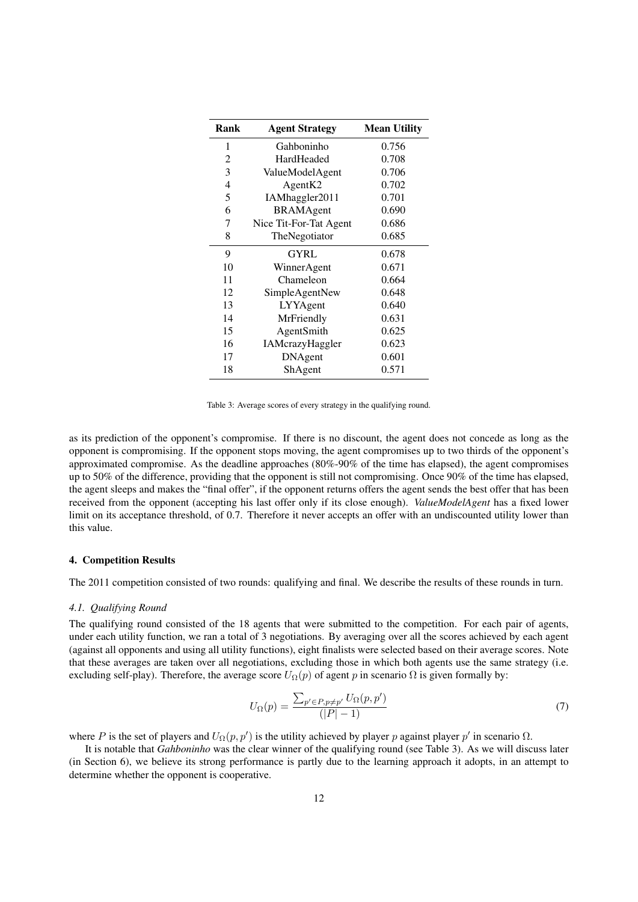| Rank | <b>Agent Strategy</b>  | <b>Mean Utility</b> |
|------|------------------------|---------------------|
| 1    | Gahboninho             | 0.756               |
| 2    | HardHeaded             | 0.708               |
| 3    | ValueModelAgent        | 0.706               |
| 4    | AgentK2                | 0.702               |
| 5    | IAMhaggler2011         | 0.701               |
| 6    | <b>BRAMAgent</b>       | 0.690               |
| 7    | Nice Tit-For-Tat Agent | 0.686               |
| 8    | TheNegotiator          | 0.685               |
| 9    | GYRL                   | 0.678               |
| 10   | WinnerAgent            | 0.671               |
| 11   | Chameleon              | 0.664               |
| 12   | SimpleAgentNew         | 0.648               |
| 13   | LYYAgent               | 0.640               |
| 14   | MrFriendly             | 0.631               |
| 15   | AgentSmith             | 0.625               |
| 16   | IAMcrazyHaggler        | 0.623               |
| 17   | DNAgent                | 0.601               |
| 18   | ShAgent                | 0.571               |

Table 3: Average scores of every strategy in the qualifying round.

as its prediction of the opponent's compromise. If there is no discount, the agent does not concede as long as the opponent is compromising. If the opponent stops moving, the agent compromises up to two thirds of the opponent's approximated compromise. As the deadline approaches (80%-90% of the time has elapsed), the agent compromises up to 50% of the difference, providing that the opponent is still not compromising. Once 90% of the time has elapsed, the agent sleeps and makes the "final offer", if the opponent returns offers the agent sends the best offer that has been received from the opponent (accepting his last offer only if its close enough). *ValueModelAgent* has a fixed lower limit on its acceptance threshold, of 0.7. Therefore it never accepts an offer with an undiscounted utility lower than this value.

# 4. Competition Results

The 2011 competition consisted of two rounds: qualifying and final. We describe the results of these rounds in turn.

### *4.1. Qualifying Round*

The qualifying round consisted of the 18 agents that were submitted to the competition. For each pair of agents, under each utility function, we ran a total of 3 negotiations. By averaging over all the scores achieved by each agent (against all opponents and using all utility functions), eight finalists were selected based on their average scores. Note that these averages are taken over all negotiations, excluding those in which both agents use the same strategy (i.e. excluding self-play). Therefore, the average score  $U_{\Omega}(p)$  of agent p in scenario  $\Omega$  is given formally by:

$$
U_{\Omega}(p) = \frac{\sum_{p' \in P, p \neq p'} U_{\Omega}(p, p')}{(|P| - 1)}\tag{7}
$$

where P is the set of players and  $U_{\Omega}(p, p')$  is the utility achieved by player p against player p' in scenario  $\Omega$ .

It is notable that *Gahboninho* was the clear winner of the qualifying round (see Table 3). As we will discuss later (in Section 6), we believe its strong performance is partly due to the learning approach it adopts, in an attempt to determine whether the opponent is cooperative.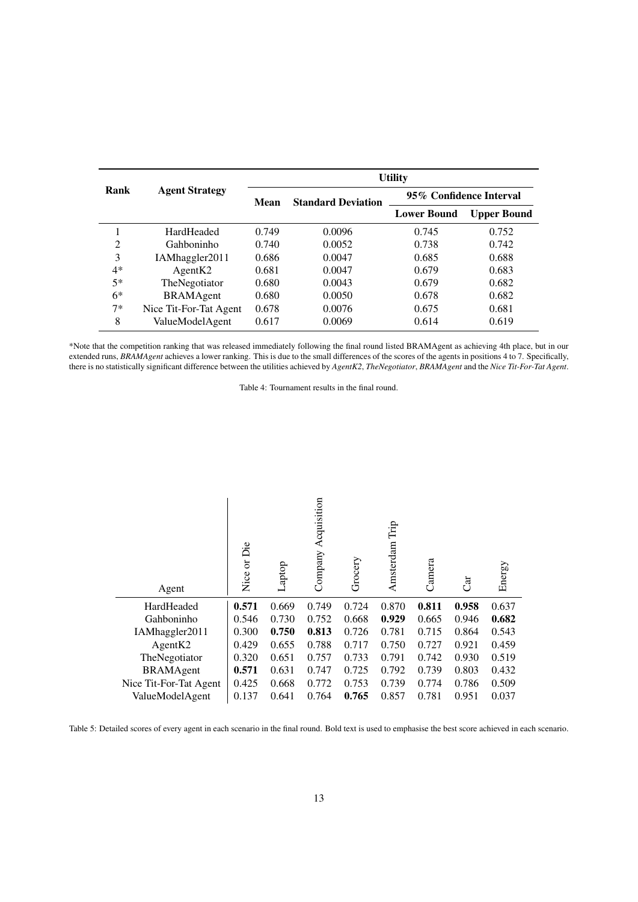| Rank    |                        | <b>Utility</b> |                           |                         |                    |  |  |  |
|---------|------------------------|----------------|---------------------------|-------------------------|--------------------|--|--|--|
|         | <b>Agent Strategy</b>  | Mean           | <b>Standard Deviation</b> | 95% Confidence Interval |                    |  |  |  |
|         |                        |                |                           | <b>Lower Bound</b>      | <b>Upper Bound</b> |  |  |  |
| 1<br>л. | HardHeaded             | 0.749          | 0.0096                    | 0.745                   | 0.752              |  |  |  |
| 2       | Gahboninho             | 0.740          | 0.0052                    | 0.738                   | 0.742              |  |  |  |
| 3       | IAMhaggler2011         | 0.686          | 0.0047                    | 0.685                   | 0.688              |  |  |  |
| $4*$    | AgentK2                | 0.681          | 0.0047                    | 0.679                   | 0.683              |  |  |  |
| $5*$    | TheNegotiator          | 0.680          | 0.0043                    | 0.679                   | 0.682              |  |  |  |
| $6*$    | <b>BRAMAgent</b>       | 0.680          | 0.0050                    | 0.678                   | 0.682              |  |  |  |
| $7*$    | Nice Tit-For-Tat Agent | 0.678          | 0.0076                    | 0.675                   | 0.681              |  |  |  |
| 8       | ValueModelAgent        | 0.617          | 0.0069                    | 0.614                   | 0.619              |  |  |  |

\*Note that the competition ranking that was released immediately following the final round listed BRAMAgent as achieving 4th place, but in our extended runs, *BRAMAgent* achieves a lower ranking. This is due to the small differences of the scores of the agents in positions 4 to 7. Specifically, there is no statistically significant difference between the utilities achieved by *AgentK2*, *TheNegotiator*, *BRAMAgent* and the *Nice Tit-For-Tat Agent*.

Table 4: Tournament results in the final round.

| Agent                  | Nice or Die | Laptop | Acquisition<br>Company | Grocery | Trip<br>Amsterdam | Camera | Ğ     | Energy |
|------------------------|-------------|--------|------------------------|---------|-------------------|--------|-------|--------|
| HardHeaded             | 0.571       | 0.669  | 0.749                  | 0.724   | 0.870             | 0.811  | 0.958 | 0.637  |
| Gahboninho             | 0.546       | 0.730  | 0.752                  | 0.668   | 0.929             | 0.665  | 0.946 | 0.682  |
| IAMhaggler2011         | 0.300       | 0.750  | 0.813                  | 0.726   | 0.781             | 0.715  | 0.864 | 0.543  |
| AgentK2                | 0.429       | 0.655  | 0.788                  | 0.717   | 0.750             | 0.727  | 0.921 | 0.459  |
| TheNegotiator          | 0.320       | 0.651  | 0.757                  | 0.733   | 0.791             | 0.742  | 0.930 | 0.519  |
| <b>BRAMAgent</b>       | 0.571       | 0.631  | 0.747                  | 0.725   | 0.792             | 0.739  | 0.803 | 0.432  |
| Nice Tit-For-Tat Agent | 0.425       | 0.668  | 0.772                  | 0.753   | 0.739             | 0.774  | 0.786 | 0.509  |
| ValueModelAgent        | 0.137       | 0.641  | 0.764                  | 0.765   | 0.857             | 0.781  | 0.951 | 0.037  |

Table 5: Detailed scores of every agent in each scenario in the final round. Bold text is used to emphasise the best score achieved in each scenario.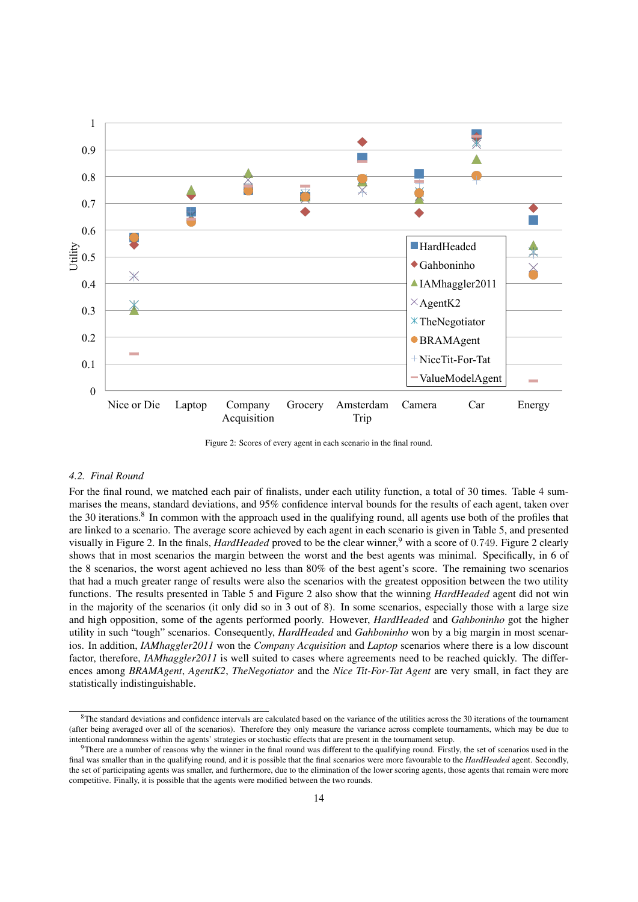

Figure 2: Scores of every agent in each scenario in the final round.

# *4.2. Final Round*

For the final round, we matched each pair of finalists, under each utility function, a total of 30 times. Table 4 summarises the means, standard deviations, and 95% confidence interval bounds for the results of each agent, taken over the 30 iterations.<sup>8</sup> In common with the approach used in the qualifying round, all agents use both of the profiles that are linked to a scenario. The average score achieved by each agent in each scenario is given in Table 5, and presented visually in Figure 2. In the finals, *HardHeaded* proved to be the clear winner,<sup>9</sup> with a score of 0.749. Figure 2 clearly shows that in most scenarios the margin between the worst and the best agents was minimal. Specifically, in 6 of the 8 scenarios, the worst agent achieved no less than 80% of the best agent's score. The remaining two scenarios that had a much greater range of results were also the scenarios with the greatest opposition between the two utility functions. The results presented in Table 5 and Figure 2 also show that the winning *HardHeaded* agent did not win in the majority of the scenarios (it only did so in 3 out of 8). In some scenarios, especially those with a large size and high opposition, some of the agents performed poorly. However, *HardHeaded* and *Gahboninho* got the higher utility in such "tough" scenarios. Consequently, *HardHeaded* and *Gahboninho* won by a big margin in most scenarios. In addition, *IAMhaggler2011* won the *Company Acquisition* and *Laptop* scenarios where there is a low discount factor, therefore, *IAMhaggler2011* is well suited to cases where agreements need to be reached quickly. The differences among *BRAMAgent*, *AgentK2*, *TheNegotiator* and the *Nice Tit-For-Tat Agent* are very small, in fact they are statistically indistinguishable.

<sup>8</sup>The standard deviations and confidence intervals are calculated based on the variance of the utilities across the 30 iterations of the tournament (after being averaged over all of the scenarios). Therefore they only measure the variance across complete tournaments, which may be due to intentional randomness within the agents' strategies or stochastic effects that are present in the tournament setup.

<sup>&</sup>lt;sup>9</sup>There are a number of reasons why the winner in the final round was different to the qualifying round. Firstly, the set of scenarios used in the final was smaller than in the qualifying round, and it is possible that the final scenarios were more favourable to the *HardHeaded* agent. Secondly, the set of participating agents was smaller, and furthermore, due to the elimination of the lower scoring agents, those agents that remain were more competitive. Finally, it is possible that the agents were modified between the two rounds.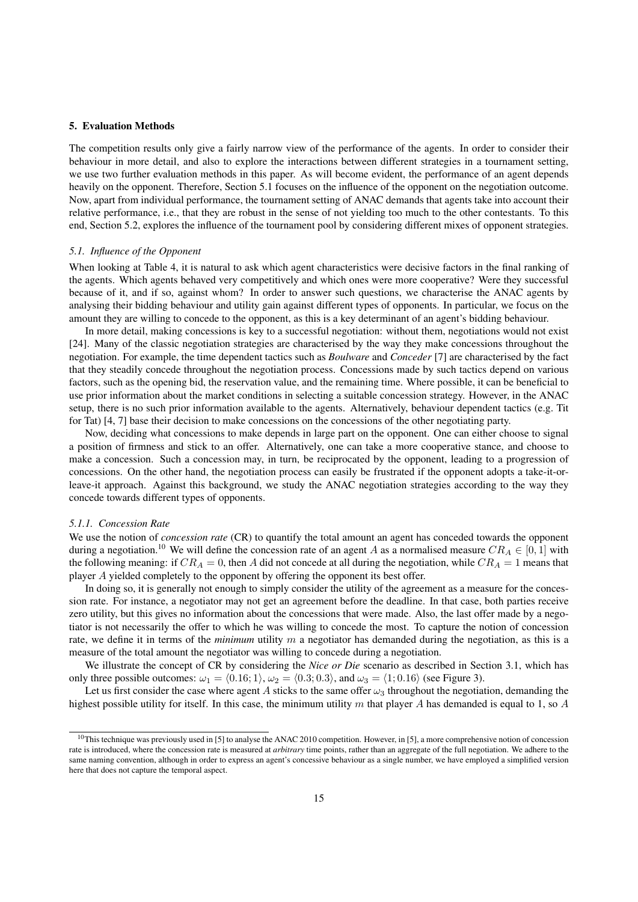# 5. Evaluation Methods

The competition results only give a fairly narrow view of the performance of the agents. In order to consider their behaviour in more detail, and also to explore the interactions between different strategies in a tournament setting, we use two further evaluation methods in this paper. As will become evident, the performance of an agent depends heavily on the opponent. Therefore, Section 5.1 focuses on the influence of the opponent on the negotiation outcome. Now, apart from individual performance, the tournament setting of ANAC demands that agents take into account their relative performance, i.e., that they are robust in the sense of not yielding too much to the other contestants. To this end, Section 5.2, explores the influence of the tournament pool by considering different mixes of opponent strategies.

# *5.1. Influence of the Opponent*

When looking at Table 4, it is natural to ask which agent characteristics were decisive factors in the final ranking of the agents. Which agents behaved very competitively and which ones were more cooperative? Were they successful because of it, and if so, against whom? In order to answer such questions, we characterise the ANAC agents by analysing their bidding behaviour and utility gain against different types of opponents. In particular, we focus on the amount they are willing to concede to the opponent, as this is a key determinant of an agent's bidding behaviour.

In more detail, making concessions is key to a successful negotiation: without them, negotiations would not exist [24]. Many of the classic negotiation strategies are characterised by the way they make concessions throughout the negotiation. For example, the time dependent tactics such as *Boulware* and *Conceder* [7] are characterised by the fact that they steadily concede throughout the negotiation process. Concessions made by such tactics depend on various factors, such as the opening bid, the reservation value, and the remaining time. Where possible, it can be beneficial to use prior information about the market conditions in selecting a suitable concession strategy. However, in the ANAC setup, there is no such prior information available to the agents. Alternatively, behaviour dependent tactics (e.g. Tit for Tat) [4, 7] base their decision to make concessions on the concessions of the other negotiating party.

Now, deciding what concessions to make depends in large part on the opponent. One can either choose to signal a position of firmness and stick to an offer. Alternatively, one can take a more cooperative stance, and choose to make a concession. Such a concession may, in turn, be reciprocated by the opponent, leading to a progression of concessions. On the other hand, the negotiation process can easily be frustrated if the opponent adopts a take-it-orleave-it approach. Against this background, we study the ANAC negotiation strategies according to the way they concede towards different types of opponents.

#### *5.1.1. Concession Rate*

We use the notion of *concession rate* (CR) to quantify the total amount an agent has conceded towards the opponent during a negotiation.<sup>10</sup> We will define the concession rate of an agent A as a normalised measure  $CR_A \in [0,1]$  with the following meaning: if  $C R_A = 0$ , then A did not concede at all during the negotiation, while  $C R_A = 1$  means that player A yielded completely to the opponent by offering the opponent its best offer.

In doing so, it is generally not enough to simply consider the utility of the agreement as a measure for the concession rate. For instance, a negotiator may not get an agreement before the deadline. In that case, both parties receive zero utility, but this gives no information about the concessions that were made. Also, the last offer made by a negotiator is not necessarily the offer to which he was willing to concede the most. To capture the notion of concession rate, we define it in terms of the *minimum* utility m a negotiator has demanded during the negotiation, as this is a measure of the total amount the negotiator was willing to concede during a negotiation.

We illustrate the concept of CR by considering the *Nice or Die* scenario as described in Section 3.1, which has only three possible outcomes:  $\omega_1 = \langle 0.16; 1 \rangle$ ,  $\omega_2 = \langle 0.3; 0.3 \rangle$ , and  $\omega_3 = \langle 1; 0.16 \rangle$  (see Figure 3).

Let us first consider the case where agent A sticks to the same offer  $\omega_3$  throughout the negotiation, demanding the highest possible utility for itself. In this case, the minimum utility m that player A has demanded is equal to 1, so A

<sup>&</sup>lt;sup>10</sup>This technique was previously used in [5] to analyse the ANAC 2010 competition. However, in [5], a more comprehensive notion of concession rate is introduced, where the concession rate is measured at *arbitrary* time points, rather than an aggregate of the full negotiation. We adhere to the same naming convention, although in order to express an agent's concessive behaviour as a single number, we have employed a simplified version here that does not capture the temporal aspect.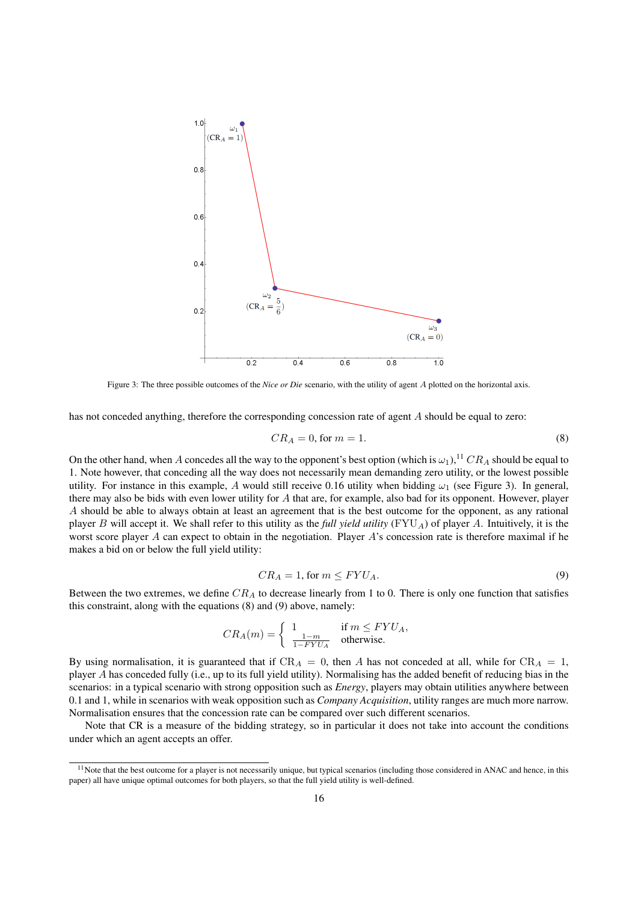

Figure 3: The three possible outcomes of the *Nice or Die* scenario, with the utility of agent A plotted on the horizontal axis.

has not conceded anything, therefore the corresponding concession rate of agent A should be equal to zero:

$$
CR_A = 0, \text{ for } m = 1. \tag{8}
$$

On the other hand, when A concedes all the way to the opponent's best option (which is  $\omega_1$ ),<sup>11</sup> CR<sub>A</sub> should be equal to 1. Note however, that conceding all the way does not necessarily mean demanding zero utility, or the lowest possible utility. For instance in this example, A would still receive 0.16 utility when bidding  $\omega_1$  (see Figure 3). In general, there may also be bids with even lower utility for A that are, for example, also bad for its opponent. However, player A should be able to always obtain at least an agreement that is the best outcome for the opponent, as any rational player B will accept it. We shall refer to this utility as the *full yield utility*  $(FYU_A)$  of player A. Intuitively, it is the worst score player  $A$  can expect to obtain in the negotiation. Player  $A$ 's concession rate is therefore maximal if he makes a bid on or below the full yield utility:

$$
CR_A = 1, \text{ for } m \leq FYU_A. \tag{9}
$$

Between the two extremes, we define  $CR_A$  to decrease linearly from 1 to 0. There is only one function that satisfies this constraint, along with the equations (8) and (9) above, namely:

$$
CR_A(m) = \begin{cases} 1 & \text{if } m \leq FYU_A, \\ \frac{1-m}{1-FYU_A} & \text{otherwise.} \end{cases}
$$

By using normalisation, it is guaranteed that if  $CR_A = 0$ , then A has not conceded at all, while for  $CR_A = 1$ , player A has conceded fully (i.e., up to its full yield utility). Normalising has the added benefit of reducing bias in the scenarios: in a typical scenario with strong opposition such as *Energy*, players may obtain utilities anywhere between 0.1 and 1, while in scenarios with weak opposition such as *Company Acquisition*, utility ranges are much more narrow. Normalisation ensures that the concession rate can be compared over such different scenarios.

Note that CR is a measure of the bidding strategy, so in particular it does not take into account the conditions under which an agent accepts an offer.

 $11$ Note that the best outcome for a player is not necessarily unique, but typical scenarios (including those considered in ANAC and hence, in this paper) all have unique optimal outcomes for both players, so that the full yield utility is well-defined.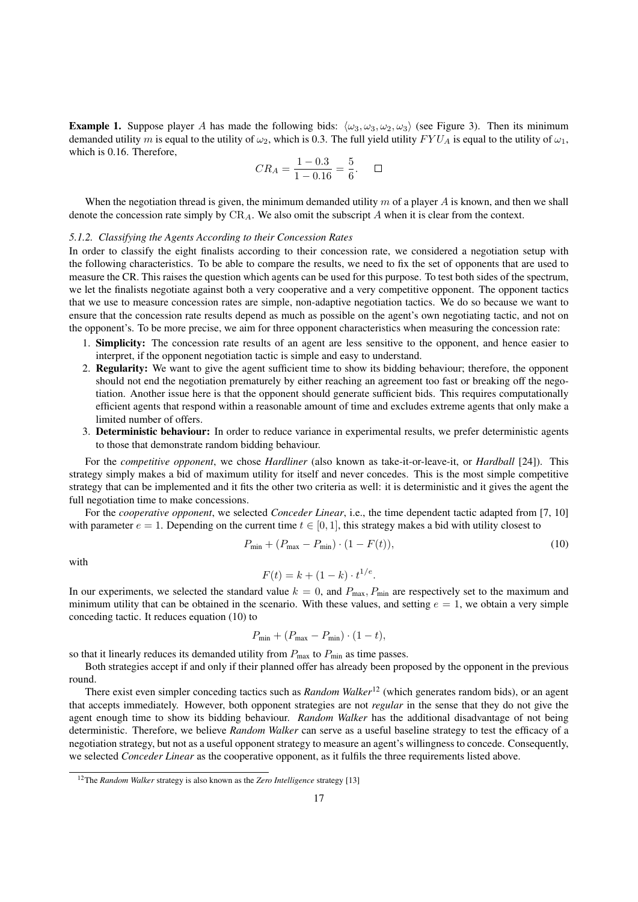**Example 1.** Suppose player A has made the following bids:  $\langle \omega_3, \omega_2, \omega_3 \rangle$  (see Figure 3). Then its minimum demanded utility m is equal to the utility of  $\omega_2$ , which is 0.3. The full yield utility  $FYU_A$  is equal to the utility of  $\omega_1$ , which is 0.16. Therefore,

$$
CR_A = \frac{1 - 0.3}{1 - 0.16} = \frac{5}{6}. \quad \Box
$$

When the negotiation thread is given, the minimum demanded utility  $m$  of a player  $A$  is known, and then we shall denote the concession rate simply by  $\text{CR}_A$ . We also omit the subscript A when it is clear from the context.

#### *5.1.2. Classifying the Agents According to their Concession Rates*

In order to classify the eight finalists according to their concession rate, we considered a negotiation setup with the following characteristics. To be able to compare the results, we need to fix the set of opponents that are used to measure the CR. This raises the question which agents can be used for this purpose. To test both sides of the spectrum, we let the finalists negotiate against both a very cooperative and a very competitive opponent. The opponent tactics that we use to measure concession rates are simple, non-adaptive negotiation tactics. We do so because we want to ensure that the concession rate results depend as much as possible on the agent's own negotiating tactic, and not on the opponent's. To be more precise, we aim for three opponent characteristics when measuring the concession rate:

- 1. Simplicity: The concession rate results of an agent are less sensitive to the opponent, and hence easier to interpret, if the opponent negotiation tactic is simple and easy to understand.
- 2. Regularity: We want to give the agent sufficient time to show its bidding behaviour; therefore, the opponent should not end the negotiation prematurely by either reaching an agreement too fast or breaking off the negotiation. Another issue here is that the opponent should generate sufficient bids. This requires computationally efficient agents that respond within a reasonable amount of time and excludes extreme agents that only make a limited number of offers.
- 3. Deterministic behaviour: In order to reduce variance in experimental results, we prefer deterministic agents to those that demonstrate random bidding behaviour.

For the *competitive opponent*, we chose *Hardliner* (also known as take-it-or-leave-it, or *Hardball* [24]). This strategy simply makes a bid of maximum utility for itself and never concedes. This is the most simple competitive strategy that can be implemented and it fits the other two criteria as well: it is deterministic and it gives the agent the full negotiation time to make concessions.

For the *cooperative opponent*, we selected *Conceder Linear*, i.e., the time dependent tactic adapted from [7, 10] with parameter  $e = 1$ . Depending on the current time  $t \in [0, 1]$ , this strategy makes a bid with utility closest to

$$
P_{\min} + (P_{\max} - P_{\min}) \cdot (1 - F(t)),
$$
\n(10)

with

$$
F(t) = k + (1 - k) \cdot t^{1/e}.
$$

In our experiments, we selected the standard value  $k = 0$ , and  $P_{\text{max}}$ ,  $P_{\text{min}}$  are respectively set to the maximum and minimum utility that can be obtained in the scenario. With these values, and setting  $e = 1$ , we obtain a very simple conceding tactic. It reduces equation (10) to

$$
P_{\min} + (P_{\max} - P_{\min}) \cdot (1 - t),
$$

so that it linearly reduces its demanded utility from  $P_{\text{max}}$  to  $P_{\text{min}}$  as time passes.

Both strategies accept if and only if their planned offer has already been proposed by the opponent in the previous round.

There exist even simpler conceding tactics such as *Random Walker*<sup>12</sup> (which generates random bids), or an agent that accepts immediately. However, both opponent strategies are not *regular* in the sense that they do not give the agent enough time to show its bidding behaviour. *Random Walker* has the additional disadvantage of not being deterministic. Therefore, we believe *Random Walker* can serve as a useful baseline strategy to test the efficacy of a negotiation strategy, but not as a useful opponent strategy to measure an agent's willingness to concede. Consequently, we selected *Conceder Linear* as the cooperative opponent, as it fulfils the three requirements listed above.

<sup>12</sup>The *Random Walker* strategy is also known as the *Zero Intelligence* strategy [13]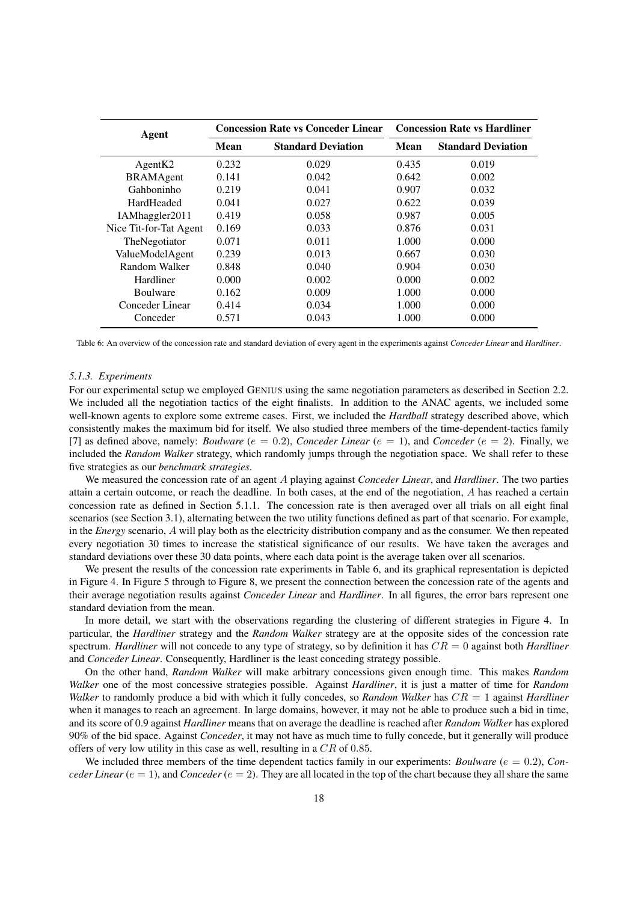| Agent                  |             | <b>Concession Rate vs Conceder Linear</b> | <b>Concession Rate vs Hardliner</b> |                           |  |
|------------------------|-------------|-------------------------------------------|-------------------------------------|---------------------------|--|
|                        | <b>Mean</b> | <b>Standard Deviation</b>                 |                                     | <b>Standard Deviation</b> |  |
| AgentK2                | 0.232       | 0.029                                     | 0.435                               | 0.019                     |  |
| <b>BRAMAgent</b>       | 0.141       | 0.042                                     | 0.642                               | 0.002                     |  |
| Gahboninho             | 0.219       | 0.041                                     | 0.907                               | 0.032                     |  |
| HardHeaded             | 0.041       | 0.027                                     | 0.622                               | 0.039                     |  |
| IAMhaggler2011         | 0.419       | 0.058                                     | 0.987                               | 0.005                     |  |
| Nice Tit-for-Tat Agent | 0.169       | 0.033                                     | 0.876                               | 0.031                     |  |
| TheNegotiator          | 0.071       | 0.011                                     | 1.000                               | 0.000                     |  |
| ValueModelAgent        | 0.239       | 0.013                                     | 0.667                               | 0.030                     |  |
| Random Walker          | 0.848       | 0.040                                     | 0.904                               | 0.030                     |  |
| Hardliner              | 0.000       | 0.002                                     | 0.000                               | 0.002                     |  |
| <b>Boulware</b>        | 0.162       | 0.009                                     | 1.000                               | 0.000                     |  |
| Conceder Linear        | 0.414       | 0.034                                     | 1.000                               | 0.000                     |  |
| Conceder               | 0.571       | 0.043                                     | 1.000                               | 0.000                     |  |

Table 6: An overview of the concession rate and standard deviation of every agent in the experiments against *Conceder Linear* and *Hardliner*.

#### *5.1.3. Experiments*

For our experimental setup we employed GENIUS using the same negotiation parameters as described in Section 2.2. We included all the negotiation tactics of the eight finalists. In addition to the ANAC agents, we included some well-known agents to explore some extreme cases. First, we included the *Hardball* strategy described above, which consistently makes the maximum bid for itself. We also studied three members of the time-dependent-tactics family [7] as defined above, namely: *Boulware* ( $e = 0.2$ ), *Conceder Linear* ( $e = 1$ ), and *Conceder* ( $e = 2$ ). Finally, we included the *Random Walker* strategy, which randomly jumps through the negotiation space. We shall refer to these five strategies as our *benchmark strategies*.

We measured the concession rate of an agent A playing against *Conceder Linear*, and *Hardliner*. The two parties attain a certain outcome, or reach the deadline. In both cases, at the end of the negotiation, A has reached a certain concession rate as defined in Section 5.1.1. The concession rate is then averaged over all trials on all eight final scenarios (see Section 3.1), alternating between the two utility functions defined as part of that scenario. For example, in the *Energy* scenario, A will play both as the electricity distribution company and as the consumer. We then repeated every negotiation 30 times to increase the statistical significance of our results. We have taken the averages and standard deviations over these 30 data points, where each data point is the average taken over all scenarios.

We present the results of the concession rate experiments in Table 6, and its graphical representation is depicted in Figure 4. In Figure 5 through to Figure 8, we present the connection between the concession rate of the agents and their average negotiation results against *Conceder Linear* and *Hardliner*. In all figures, the error bars represent one standard deviation from the mean.

In more detail, we start with the observations regarding the clustering of different strategies in Figure 4. In particular, the *Hardliner* strategy and the *Random Walker* strategy are at the opposite sides of the concession rate spectrum. *Hardliner* will not concede to any type of strategy, so by definition it has  $CR = 0$  against both *Hardliner* and *Conceder Linear*. Consequently, Hardliner is the least conceding strategy possible.

On the other hand, *Random Walker* will make arbitrary concessions given enough time. This makes *Random Walker* one of the most concessive strategies possible. Against *Hardliner*, it is just a matter of time for *Random Walker* to randomly produce a bid with which it fully concedes, so *Random Walker* has CR = 1 against *Hardliner* when it manages to reach an agreement. In large domains, however, it may not be able to produce such a bid in time, and its score of 0.9 against *Hardliner* means that on average the deadline is reached after *Random Walker* has explored 90% of the bid space. Against *Conceder*, it may not have as much time to fully concede, but it generally will produce offers of very low utility in this case as well, resulting in a CR of 0.85.

We included three members of the time dependent tactics family in our experiments: *Boulware* ( $e = 0.2$ ), *Conceder Linear*  $(e = 1)$ , and *Conceder*  $(e = 2)$ . They are all located in the top of the chart because they all share the same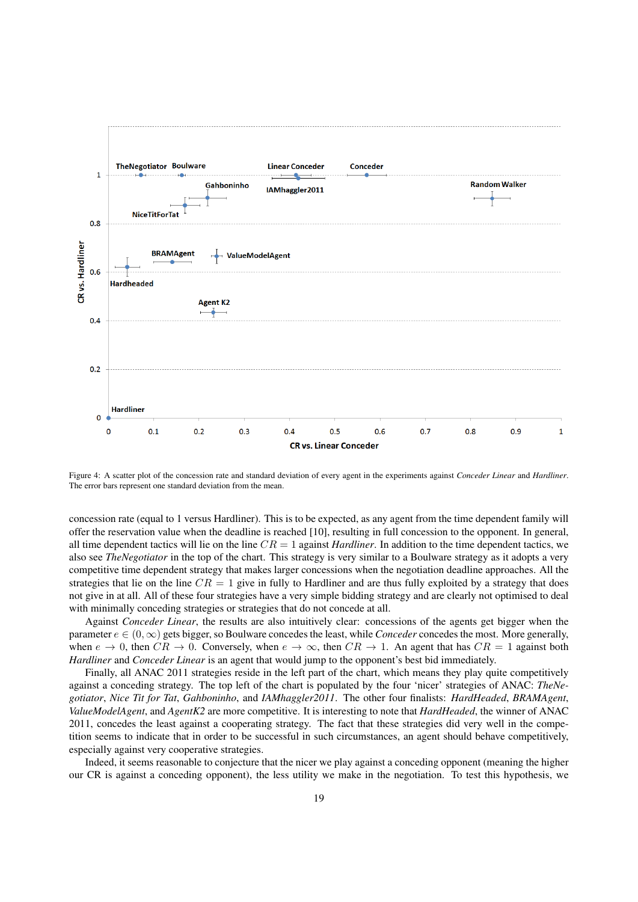

Figure 4: A scatter plot of the concession rate and standard deviation of every agent in the experiments against *Conceder Linear* and *Hardliner*. The error bars represent one standard deviation from the mean.

concession rate (equal to 1 versus Hardliner). This is to be expected, as any agent from the time dependent family will offer the reservation value when the deadline is reached [10], resulting in full concession to the opponent. In general, all time dependent tactics will lie on the line CR = 1 against *Hardliner*. In addition to the time dependent tactics, we also see *TheNegotiator* in the top of the chart. This strategy is very similar to a Boulware strategy as it adopts a very competitive time dependent strategy that makes larger concessions when the negotiation deadline approaches. All the strategies that lie on the line  $CR = 1$  give in fully to Hardliner and are thus fully exploited by a strategy that does not give in at all. All of these four strategies have a very simple bidding strategy and are clearly not optimised to deal with minimally conceding strategies or strategies that do not concede at all.

Against *Conceder Linear*, the results are also intuitively clear: concessions of the agents get bigger when the parameter  $e \in (0, \infty)$  gets bigger, so Boulware concedes the least, while *Conceder* concedes the most. More generally, when  $e \to 0$ , then  $CR \to 0$ . Conversely, when  $e \to \infty$ , then  $CR \to 1$ . An agent that has  $CR = 1$  against both *Hardliner* and *Conceder Linear* is an agent that would jump to the opponent's best bid immediately.

Finally, all ANAC 2011 strategies reside in the left part of the chart, which means they play quite competitively against a conceding strategy. The top left of the chart is populated by the four 'nicer' strategies of ANAC: *TheNegotiator*, *Nice Tit for Tat*, *Gahboninho*, and *IAMhaggler2011*. The other four finalists: *HardHeaded*, *BRAMAgent*, *ValueModelAgent*, and *AgentK2* are more competitive. It is interesting to note that *HardHeaded*, the winner of ANAC 2011, concedes the least against a cooperating strategy. The fact that these strategies did very well in the competition seems to indicate that in order to be successful in such circumstances, an agent should behave competitively, especially against very cooperative strategies.

Indeed, it seems reasonable to conjecture that the nicer we play against a conceding opponent (meaning the higher our CR is against a conceding opponent), the less utility we make in the negotiation. To test this hypothesis, we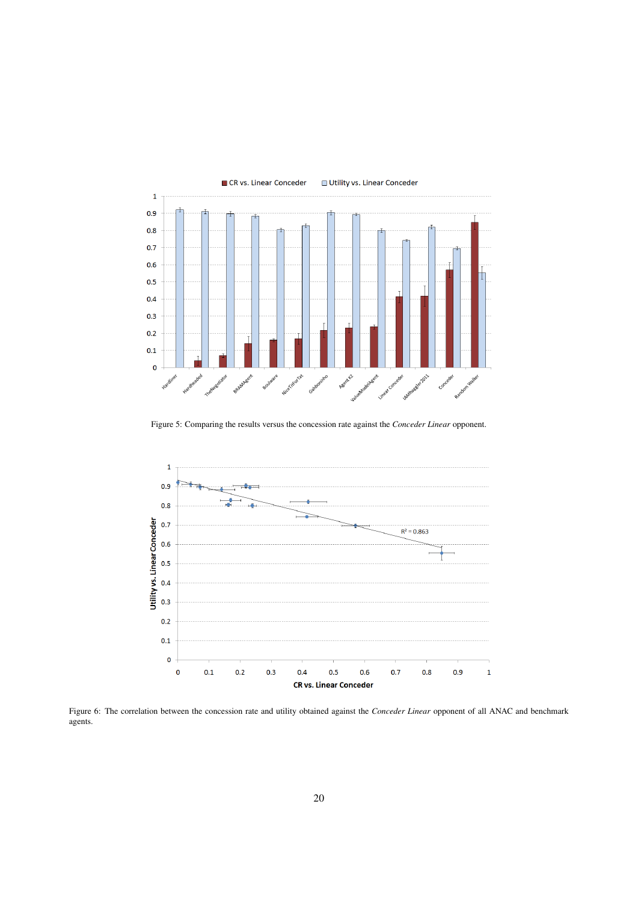

Figure 5: Comparing the results versus the concession rate against the *Conceder Linear* opponent.



Figure 6: The correlation between the concession rate and utility obtained against the *Conceder Linear* opponent of all ANAC and benchmark agents.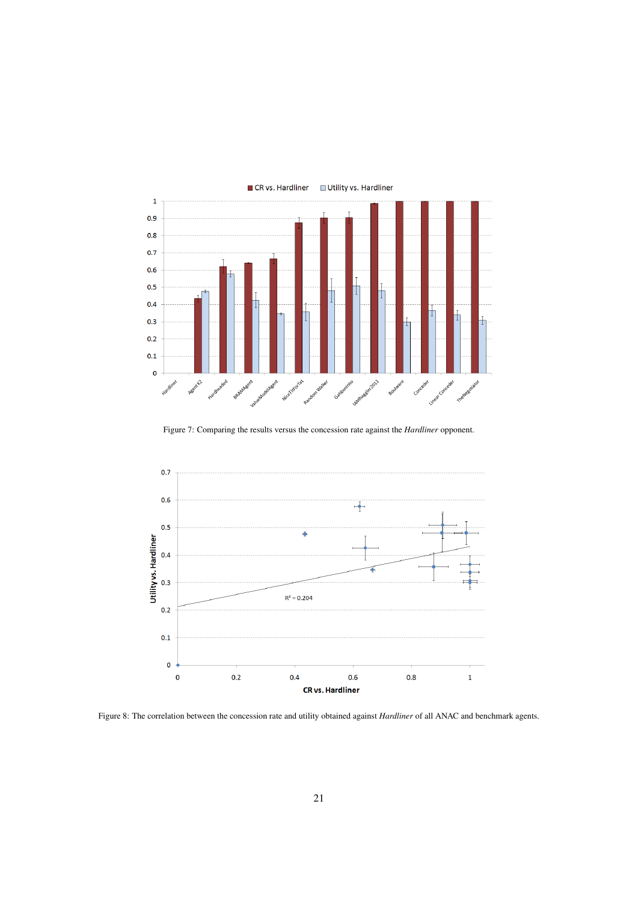

Figure 7: Comparing the results versus the concession rate against the *Hardliner* opponent.



Figure 8: The correlation between the concession rate and utility obtained against *Hardliner* of all ANAC and benchmark agents.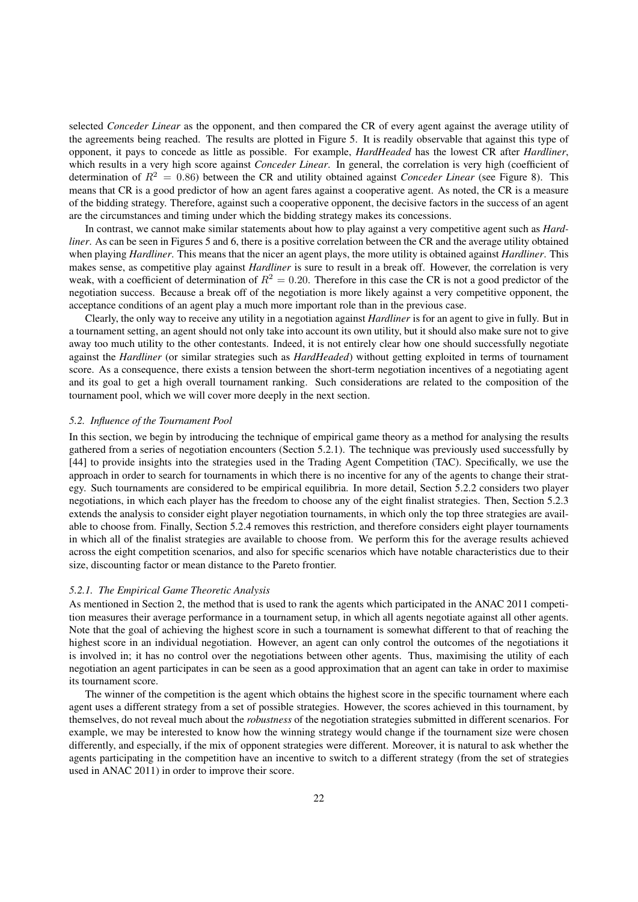selected *Conceder Linear* as the opponent, and then compared the CR of every agent against the average utility of the agreements being reached. The results are plotted in Figure 5. It is readily observable that against this type of opponent, it pays to concede as little as possible. For example, *HardHeaded* has the lowest CR after *Hardliner*, which results in a very high score against *Conceder Linear*. In general, the correlation is very high (coefficient of determination of  $R^2 = 0.86$ ) between the CR and utility obtained against *Conceder Linear* (see Figure 8). This means that CR is a good predictor of how an agent fares against a cooperative agent. As noted, the CR is a measure of the bidding strategy. Therefore, against such a cooperative opponent, the decisive factors in the success of an agent are the circumstances and timing under which the bidding strategy makes its concessions.

In contrast, we cannot make similar statements about how to play against a very competitive agent such as *Hardliner*. As can be seen in Figures 5 and 6, there is a positive correlation between the CR and the average utility obtained when playing *Hardliner*. This means that the nicer an agent plays, the more utility is obtained against *Hardliner*. This makes sense, as competitive play against *Hardliner* is sure to result in a break off. However, the correlation is very weak, with a coefficient of determination of  $R^2 = 0.20$ . Therefore in this case the CR is not a good predictor of the negotiation success. Because a break off of the negotiation is more likely against a very competitive opponent, the acceptance conditions of an agent play a much more important role than in the previous case.

Clearly, the only way to receive any utility in a negotiation against *Hardliner* is for an agent to give in fully. But in a tournament setting, an agent should not only take into account its own utility, but it should also make sure not to give away too much utility to the other contestants. Indeed, it is not entirely clear how one should successfully negotiate against the *Hardliner* (or similar strategies such as *HardHeaded*) without getting exploited in terms of tournament score. As a consequence, there exists a tension between the short-term negotiation incentives of a negotiating agent and its goal to get a high overall tournament ranking. Such considerations are related to the composition of the tournament pool, which we will cover more deeply in the next section.

#### *5.2. Influence of the Tournament Pool*

In this section, we begin by introducing the technique of empirical game theory as a method for analysing the results gathered from a series of negotiation encounters (Section 5.2.1). The technique was previously used successfully by [44] to provide insights into the strategies used in the Trading Agent Competition (TAC). Specifically, we use the approach in order to search for tournaments in which there is no incentive for any of the agents to change their strategy. Such tournaments are considered to be empirical equilibria. In more detail, Section 5.2.2 considers two player negotiations, in which each player has the freedom to choose any of the eight finalist strategies. Then, Section 5.2.3 extends the analysis to consider eight player negotiation tournaments, in which only the top three strategies are available to choose from. Finally, Section 5.2.4 removes this restriction, and therefore considers eight player tournaments in which all of the finalist strategies are available to choose from. We perform this for the average results achieved across the eight competition scenarios, and also for specific scenarios which have notable characteristics due to their size, discounting factor or mean distance to the Pareto frontier.

#### *5.2.1. The Empirical Game Theoretic Analysis*

As mentioned in Section 2, the method that is used to rank the agents which participated in the ANAC 2011 competition measures their average performance in a tournament setup, in which all agents negotiate against all other agents. Note that the goal of achieving the highest score in such a tournament is somewhat different to that of reaching the highest score in an individual negotiation. However, an agent can only control the outcomes of the negotiations it is involved in; it has no control over the negotiations between other agents. Thus, maximising the utility of each negotiation an agent participates in can be seen as a good approximation that an agent can take in order to maximise its tournament score.

The winner of the competition is the agent which obtains the highest score in the specific tournament where each agent uses a different strategy from a set of possible strategies. However, the scores achieved in this tournament, by themselves, do not reveal much about the *robustness* of the negotiation strategies submitted in different scenarios. For example, we may be interested to know how the winning strategy would change if the tournament size were chosen differently, and especially, if the mix of opponent strategies were different. Moreover, it is natural to ask whether the agents participating in the competition have an incentive to switch to a different strategy (from the set of strategies used in ANAC 2011) in order to improve their score.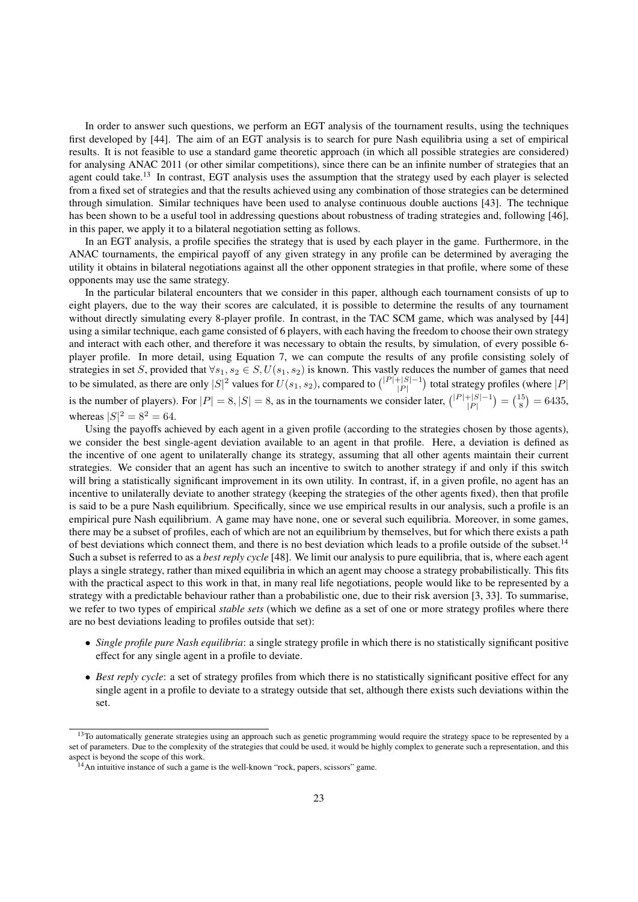In order to answer such questions, we perform an EGT analysis of the tournament results, using the techniques first developed by [44]. The aim of an EGT analysis is to search for pure Nash equilibria using a set of empirical results. It is not feasible to use a standard game theoretic approach (in which all possible strategies are considered) for analysing ANAC 2011 (or other similar competitions), since there can be an infinite number of strategies that an agent could take.<sup>13</sup> In contrast, EGT analysis uses the assumption that the strategy used by each player is selected from a fixed set of strategies and that the results achieved using any combination of those strategies can be determined through simulation. Similar techniques have been used to analyse continuous double auctions [43]. The technique has been shown to be a useful tool in addressing questions about robustness of trading strategies and, following [46], in this paper, we apply it to a bilateral negotiation setting as follows.

In an EGT analysis, a profile specifies the strategy that is used by each player in the game. Furthermore, in the ANAC tournaments, the empirical payoff of any given strategy in any profile can be determined by averaging the utility it obtains in bilateral negotiations against all the other opponent strategies in that profile, where some of these opponents may use the same strategy.

In the particular bilateral encounters that we consider in this paper, although each tournament consists of up to eight players, due to the way their scores are calculated, it is possible to determine the results of any tournament without directly simulating every 8-player profile. In contrast, in the TAC SCM game, which was analysed by [44] using a similar technique, each game consisted of 6 players, with each having the freedom to choose their own strategy and interact with each other, and therefore it was necessary to obtain the results, by simulation, of every possible 6 player profile. In more detail, using Equation 7, we can compute the results of any profile consisting solely of strategies in set S, provided that  $\forall s_1, s_2 \in S, U(s_1, s_2)$  is known. This vastly reduces the number of games that need to be simulated, as there are only  $|S|^2$  values for  $U(s_1, s_2)$ , compared to  $\binom{|P|+|S|-1}{|P|}$  $\frac{|\mathcal{B}|-1}{|\mathcal{P}|}$  total strategy profiles (where  $|\mathcal{P}|$ is the number of players). For  $|P| = 8$ ,  $|S| = 8$ , as in the tournaments we consider later,  $\binom{|P|+|S|-1}{|P|}$  $\binom{|S|-1}{|P|} = \binom{15}{8} = 6435,$ whereas  $|S|^2 = 8^2 = 64$ .

Using the payoffs achieved by each agent in a given profile (according to the strategies chosen by those agents), we consider the best single-agent deviation available to an agent in that profile. Here, a deviation is defined as the incentive of one agent to unilaterally change its strategy, assuming that all other agents maintain their current strategies. We consider that an agent has such an incentive to switch to another strategy if and only if this switch will bring a statistically significant improvement in its own utility. In contrast, if, in a given profile, no agent has an incentive to unilaterally deviate to another strategy (keeping the strategies of the other agents fixed), then that profile is said to be a pure Nash equilibrium. Specifically, since we use empirical results in our analysis, such a profile is an empirical pure Nash equilibrium. A game may have none, one or several such equilibria. Moreover, in some games, there may be a subset of profiles, each of which are not an equilibrium by themselves, but for which there exists a path of best deviations which connect them, and there is no best deviation which leads to a profile outside of the subset.<sup>14</sup> Such a subset is referred to as a *best reply cycle* [48]. We limit our analysis to pure equilibria, that is, where each agent plays a single strategy, rather than mixed equilibria in which an agent may choose a strategy probabilistically. This fits with the practical aspect to this work in that, in many real life negotiations, people would like to be represented by a strategy with a predictable behaviour rather than a probabilistic one, due to their risk aversion [3, 33]. To summarise, we refer to two types of empirical *stable sets* (which we define as a set of one or more strategy profiles where there are no best deviations leading to profiles outside that set):

- *Single profile pure Nash equilibria*: a single strategy profile in which there is no statistically significant positive effect for any single agent in a profile to deviate.
- *Best reply cycle*: a set of strategy profiles from which there is no statistically significant positive effect for any single agent in a profile to deviate to a strategy outside that set, although there exists such deviations within the set.

<sup>&</sup>lt;sup>13</sup>To automatically generate strategies using an approach such as genetic programming would require the strategy space to be represented by a set of parameters. Due to the complexity of the strategies that could be used, it would be highly complex to generate such a representation, and this aspect is beyond the scope of this work.

<sup>&</sup>lt;sup>14</sup>An intuitive instance of such a game is the well-known "rock, papers, scissors" game.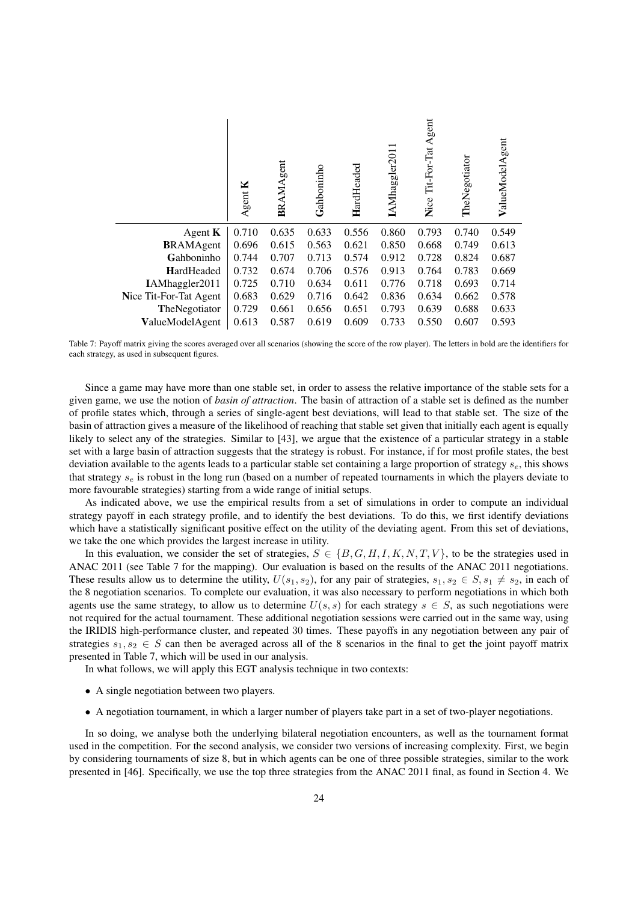|                        | M<br>Agent | <b>BRAMAgent</b> | Gahboninho | HardHeaded | IAMhaggler201 | Agent<br>Tit-For-Tat<br>Nice | TheNegotiator | ValueModelAgent |
|------------------------|------------|------------------|------------|------------|---------------|------------------------------|---------------|-----------------|
| Agent $K$              | 0.710      | 0.635            | 0.633      | 0.556      | 0.860         | 0.793                        | 0.740         | 0.549           |
| <b>BRAMAgent</b>       | 0.696      | 0.615            | 0.563      | 0.621      | 0.850         | 0.668                        | 0.749         | 0.613           |
| Gahboninho             | 0.744      | 0.707            | 0.713      | 0.574      | 0.912         | 0.728                        | 0.824         | 0.687           |
| HardHeaded             | 0.732      | 0.674            | 0.706      | 0.576      | 0.913         | 0.764                        | 0.783         | 0.669           |
| IAMhaggler2011         | 0.725      | 0.710            | 0.634      | 0.611      | 0.776         | 0.718                        | 0.693         | 0.714           |
| Nice Tit-For-Tat Agent | 0.683      | 0.629            | 0.716      | 0.642      | 0.836         | 0.634                        | 0.662         | 0.578           |
| TheNegotiator          | 0.729      | 0.661            | 0.656      | 0.651      | 0.793         | 0.639                        | 0.688         | 0.633           |
| ValueModelAgent        | 0.613      | 0.587            | 0.619      | 0.609      | 0.733         | 0.550                        | 0.607         | 0.593           |

Table 7: Payoff matrix giving the scores averaged over all scenarios (showing the score of the row player). The letters in bold are the identifiers for each strategy, as used in subsequent figures.

Since a game may have more than one stable set, in order to assess the relative importance of the stable sets for a given game, we use the notion of *basin of attraction*. The basin of attraction of a stable set is defined as the number of profile states which, through a series of single-agent best deviations, will lead to that stable set. The size of the basin of attraction gives a measure of the likelihood of reaching that stable set given that initially each agent is equally likely to select any of the strategies. Similar to [43], we argue that the existence of a particular strategy in a stable set with a large basin of attraction suggests that the strategy is robust. For instance, if for most profile states, the best deviation available to the agents leads to a particular stable set containing a large proportion of strategy  $s_e$ , this shows that strategy  $s_e$  is robust in the long run (based on a number of repeated tournaments in which the players deviate to more favourable strategies) starting from a wide range of initial setups.

As indicated above, we use the empirical results from a set of simulations in order to compute an individual strategy payoff in each strategy profile, and to identify the best deviations. To do this, we first identify deviations which have a statistically significant positive effect on the utility of the deviating agent. From this set of deviations, we take the one which provides the largest increase in utility.

In this evaluation, we consider the set of strategies,  $S \in \{B, G, H, I, K, N, T, V\}$ , to be the strategies used in ANAC 2011 (see Table 7 for the mapping). Our evaluation is based on the results of the ANAC 2011 negotiations. These results allow us to determine the utility,  $U(s_1, s_2)$ , for any pair of strategies,  $s_1, s_2 \in S$ ,  $s_1 \neq s_2$ , in each of the 8 negotiation scenarios. To complete our evaluation, it was also necessary to perform negotiations in which both agents use the same strategy, to allow us to determine  $U(s, s)$  for each strategy  $s \in S$ , as such negotiations were not required for the actual tournament. These additional negotiation sessions were carried out in the same way, using the IRIDIS high-performance cluster, and repeated 30 times. These payoffs in any negotiation between any pair of strategies  $s_1, s_2 \in S$  can then be averaged across all of the 8 scenarios in the final to get the joint payoff matrix presented in Table 7, which will be used in our analysis.

In what follows, we will apply this EGT analysis technique in two contexts:

- A single negotiation between two players.
- A negotiation tournament, in which a larger number of players take part in a set of two-player negotiations.

In so doing, we analyse both the underlying bilateral negotiation encounters, as well as the tournament format used in the competition. For the second analysis, we consider two versions of increasing complexity. First, we begin by considering tournaments of size 8, but in which agents can be one of three possible strategies, similar to the work presented in [46]. Specifically, we use the top three strategies from the ANAC 2011 final, as found in Section 4. We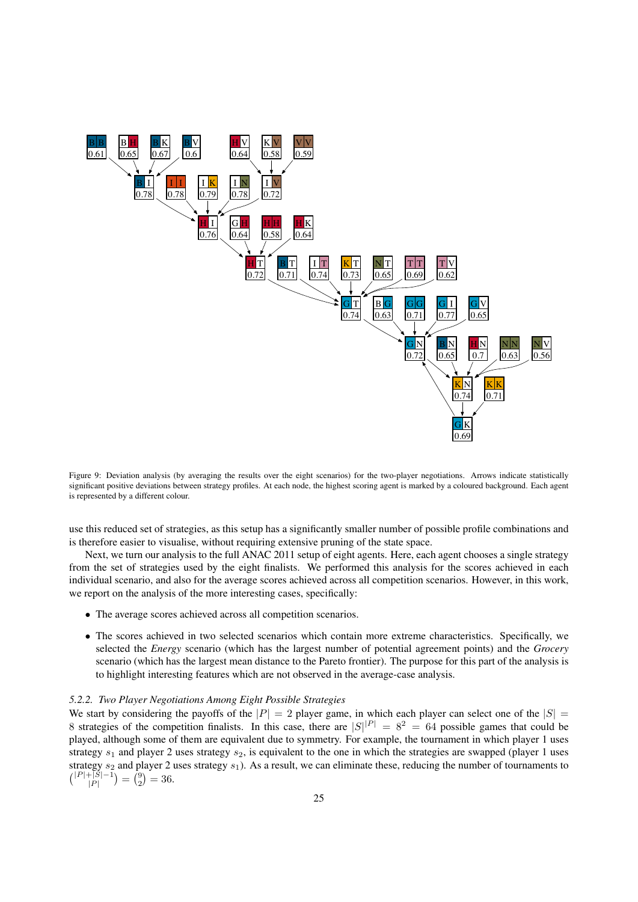

Figure 9: Deviation analysis (by averaging the results over the eight scenarios) for the two-player negotiations. Arrows indicate statistically significant positive deviations between strategy profiles. At each node, the highest scoring agent is marked by a coloured background. Each agent is represented by a different colour.

use this reduced set of strategies, as this setup has a significantly smaller number of possible profile combinations and is therefore easier to visualise, without requiring extensive pruning of the state space.

Next, we turn our analysis to the full ANAC 2011 setup of eight agents. Here, each agent chooses a single strategy from the set of strategies used by the eight finalists. We performed this analysis for the scores achieved in each individual scenario, and also for the average scores achieved across all competition scenarios. However, in this work, we report on the analysis of the more interesting cases, specifically:

- The average scores achieved across all competition scenarios.
- The scores achieved in two selected scenarios which contain more extreme characteristics. Specifically, we selected the *Energy* scenario (which has the largest number of potential agreement points) and the *Grocery* scenario (which has the largest mean distance to the Pareto frontier). The purpose for this part of the analysis is to highlight interesting features which are not observed in the average-case analysis.

# *5.2.2. Two Player Negotiations Among Eight Possible Strategies*

We start by considering the payoffs of the  $|P| = 2$  player game, in which each player can select one of the  $|S| =$ 8 strategies of the competition finalists. In this case, there are  $|S||^{P|} = 8^2 = 64$  possible games that could be played, although some of them are equivalent due to symmetry. For example, the tournament in which player 1 uses strategy  $s_1$  and player 2 uses strategy  $s_2$ , is equivalent to the one in which the strategies are swapped (player 1 uses strategy  $s_2$  and player 2 uses strategy  $s_1$ ). As a result, we can eliminate these, reducing the number of tournaments to  $\binom{|P|+|S|-1}{|P|}$  $|P|^{(|S|-1)} = {9 \choose 2} = 36.$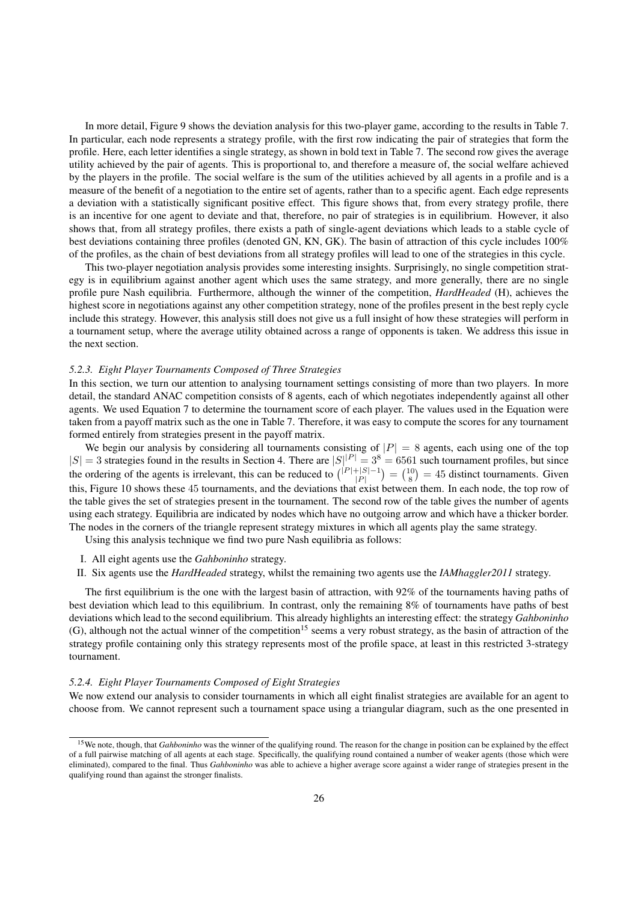In more detail, Figure 9 shows the deviation analysis for this two-player game, according to the results in Table 7. In particular, each node represents a strategy profile, with the first row indicating the pair of strategies that form the profile. Here, each letter identifies a single strategy, as shown in bold text in Table 7. The second row gives the average utility achieved by the pair of agents. This is proportional to, and therefore a measure of, the social welfare achieved by the players in the profile. The social welfare is the sum of the utilities achieved by all agents in a profile and is a measure of the benefit of a negotiation to the entire set of agents, rather than to a specific agent. Each edge represents a deviation with a statistically significant positive effect. This figure shows that, from every strategy profile, there is an incentive for one agent to deviate and that, therefore, no pair of strategies is in equilibrium. However, it also shows that, from all strategy profiles, there exists a path of single-agent deviations which leads to a stable cycle of best deviations containing three profiles (denoted GN, KN, GK). The basin of attraction of this cycle includes 100% of the profiles, as the chain of best deviations from all strategy profiles will lead to one of the strategies in this cycle.

This two-player negotiation analysis provides some interesting insights. Surprisingly, no single competition strategy is in equilibrium against another agent which uses the same strategy, and more generally, there are no single profile pure Nash equilibria. Furthermore, although the winner of the competition, *HardHeaded* (H), achieves the highest score in negotiations against any other competition strategy, none of the profiles present in the best reply cycle include this strategy. However, this analysis still does not give us a full insight of how these strategies will perform in a tournament setup, where the average utility obtained across a range of opponents is taken. We address this issue in the next section.

# *5.2.3. Eight Player Tournaments Composed of Three Strategies*

In this section, we turn our attention to analysing tournament settings consisting of more than two players. In more detail, the standard ANAC competition consists of 8 agents, each of which negotiates independently against all other agents. We used Equation 7 to determine the tournament score of each player. The values used in the Equation were taken from a payoff matrix such as the one in Table 7. Therefore, it was easy to compute the scores for any tournament formed entirely from strategies present in the payoff matrix.

We begin our analysis by considering all tournaments consisting of  $|P| = 8$  agents, each using one of the top  $|S| = 3$  strategies found in the results in Section 4. There are  $|S|^{|P|} = 3^8 = 6561$  such tournament profiles, but since the ordering of the agents is irrelevant, this can be reduced to  $\binom{|P|+|S|-1}{|P|}$  $\binom{|S|-1}{|P|} = \binom{10}{8} = 45$  distinct tournaments. Given this, Figure 10 shows these 45 tournaments, and the deviations that exist between them. In each node, the top row of the table gives the set of strategies present in the tournament. The second row of the table gives the number of agents using each strategy. Equilibria are indicated by nodes which have no outgoing arrow and which have a thicker border. The nodes in the corners of the triangle represent strategy mixtures in which all agents play the same strategy.

Using this analysis technique we find two pure Nash equilibria as follows:

- I. All eight agents use the *Gahboninho* strategy.
- II. Six agents use the *HardHeaded* strategy, whilst the remaining two agents use the *IAMhaggler2011* strategy.

The first equilibrium is the one with the largest basin of attraction, with 92% of the tournaments having paths of best deviation which lead to this equilibrium. In contrast, only the remaining 8% of tournaments have paths of best deviations which lead to the second equilibrium. This already highlights an interesting effect: the strategy *Gahboninho* (G), although not the actual winner of the competition<sup>15</sup> seems a very robust strategy, as the basin of attraction of the strategy profile containing only this strategy represents most of the profile space, at least in this restricted 3-strategy tournament.

#### *5.2.4. Eight Player Tournaments Composed of Eight Strategies*

We now extend our analysis to consider tournaments in which all eight finalist strategies are available for an agent to choose from. We cannot represent such a tournament space using a triangular diagram, such as the one presented in

<sup>&</sup>lt;sup>15</sup>We note, though, that *Gahboninho* was the winner of the qualifying round. The reason for the change in position can be explained by the effect of a full pairwise matching of all agents at each stage. Specifically, the qualifying round contained a number of weaker agents (those which were eliminated), compared to the final. Thus *Gahboninho* was able to achieve a higher average score against a wider range of strategies present in the qualifying round than against the stronger finalists.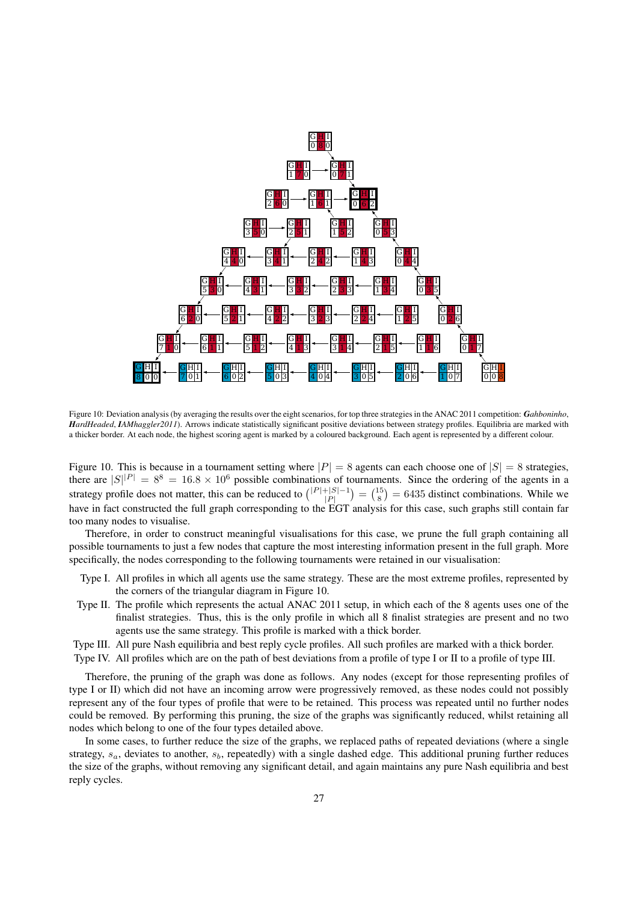

Figure 10: Deviation analysis (by averaging the results over the eight scenarios, for top three strategies in the ANAC 2011 competition: *Gahboninho*, *HardHeaded*, *IAMhaggler2011*). Arrows indicate statistically significant positive deviations between strategy profiles. Equilibria are marked with a thicker border. At each node, the highest scoring agent is marked by a coloured background. Each agent is represented by a different colour.

Figure 10. This is because in a tournament setting where  $|P| = 8$  agents can each choose one of  $|S| = 8$  strategies, there are  $|S|^{|P|} = 8^8 = 16.8 \times 10^6$  possible combinations of tournaments. Since the ordering of the agents in a strategy profile does not matter, this can be reduced to  $\binom{|P|+|S|-1}{|P|}$  $\binom{|S|-1}{|P|} = \binom{15}{8} = 6435$  distinct combinations. While we have in fact constructed the full graph corresponding to the EGT analysis for this case, such graphs still contain far too many nodes to visualise.

Therefore, in order to construct meaningful visualisations for this case, we prune the full graph containing all possible tournaments to just a few nodes that capture the most interesting information present in the full graph. More specifically, the nodes corresponding to the following tournaments were retained in our visualisation:

- Type I. All profiles in which all agents use the same strategy. These are the most extreme profiles, represented by the corners of the triangular diagram in Figure 10.
- Type II. The profile which represents the actual ANAC 2011 setup, in which each of the 8 agents uses one of the finalist strategies. Thus, this is the only profile in which all 8 finalist strategies are present and no two agents use the same strategy. This profile is marked with a thick border.
- Type III. All pure Nash equilibria and best reply cycle profiles. All such profiles are marked with a thick border.

Type IV. All profiles which are on the path of best deviations from a profile of type I or II to a profile of type III.

Therefore, the pruning of the graph was done as follows. Any nodes (except for those representing profiles of type I or II) which did not have an incoming arrow were progressively removed, as these nodes could not possibly represent any of the four types of profile that were to be retained. This process was repeated until no further nodes could be removed. By performing this pruning, the size of the graphs was significantly reduced, whilst retaining all nodes which belong to one of the four types detailed above.

In some cases, to further reduce the size of the graphs, we replaced paths of repeated deviations (where a single strategy,  $s_a$ , deviates to another,  $s_b$ , repeatedly) with a single dashed edge. This additional pruning further reduces the size of the graphs, without removing any significant detail, and again maintains any pure Nash equilibria and best reply cycles.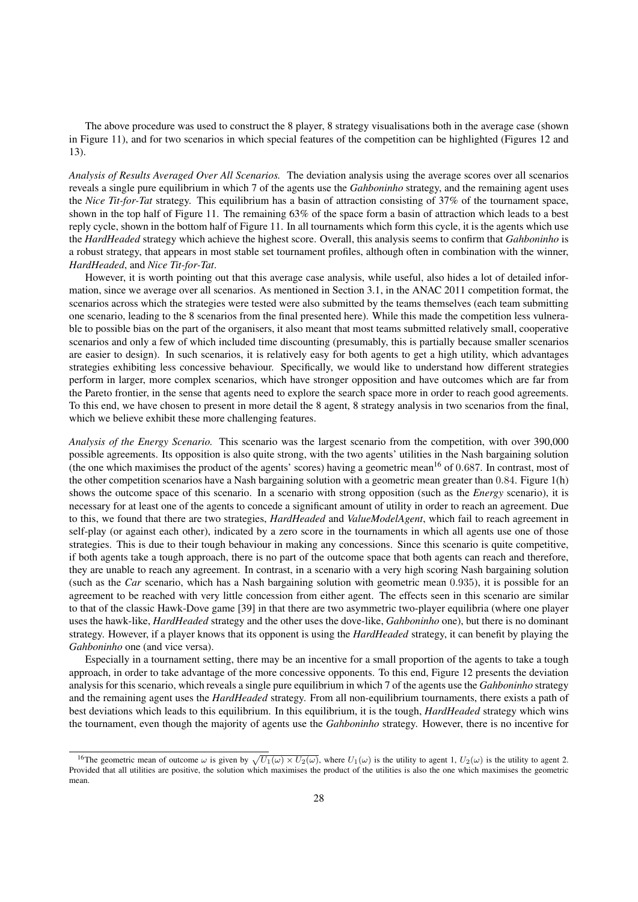The above procedure was used to construct the 8 player, 8 strategy visualisations both in the average case (shown in Figure 11), and for two scenarios in which special features of the competition can be highlighted (Figures 12 and 13).

*Analysis of Results Averaged Over All Scenarios.* The deviation analysis using the average scores over all scenarios reveals a single pure equilibrium in which 7 of the agents use the *Gahboninho* strategy, and the remaining agent uses the *Nice Tit-for-Tat* strategy. This equilibrium has a basin of attraction consisting of 37% of the tournament space, shown in the top half of Figure 11. The remaining 63% of the space form a basin of attraction which leads to a best reply cycle, shown in the bottom half of Figure 11. In all tournaments which form this cycle, it is the agents which use the *HardHeaded* strategy which achieve the highest score. Overall, this analysis seems to confirm that *Gahboninho* is a robust strategy, that appears in most stable set tournament profiles, although often in combination with the winner, *HardHeaded*, and *Nice Tit-for-Tat*.

However, it is worth pointing out that this average case analysis, while useful, also hides a lot of detailed information, since we average over all scenarios. As mentioned in Section 3.1, in the ANAC 2011 competition format, the scenarios across which the strategies were tested were also submitted by the teams themselves (each team submitting one scenario, leading to the 8 scenarios from the final presented here). While this made the competition less vulnerable to possible bias on the part of the organisers, it also meant that most teams submitted relatively small, cooperative scenarios and only a few of which included time discounting (presumably, this is partially because smaller scenarios are easier to design). In such scenarios, it is relatively easy for both agents to get a high utility, which advantages strategies exhibiting less concessive behaviour. Specifically, we would like to understand how different strategies perform in larger, more complex scenarios, which have stronger opposition and have outcomes which are far from the Pareto frontier, in the sense that agents need to explore the search space more in order to reach good agreements. To this end, we have chosen to present in more detail the 8 agent, 8 strategy analysis in two scenarios from the final, which we believe exhibit these more challenging features.

*Analysis of the Energy Scenario.* This scenario was the largest scenario from the competition, with over 390,000 possible agreements. Its opposition is also quite strong, with the two agents' utilities in the Nash bargaining solution (the one which maximises the product of the agents' scores) having a geometric mean<sup>16</sup> of  $0.687$ . In contrast, most of the other competition scenarios have a Nash bargaining solution with a geometric mean greater than 0.84. Figure 1(h) shows the outcome space of this scenario. In a scenario with strong opposition (such as the *Energy* scenario), it is necessary for at least one of the agents to concede a significant amount of utility in order to reach an agreement. Due to this, we found that there are two strategies, *HardHeaded* and *ValueModelAgent*, which fail to reach agreement in self-play (or against each other), indicated by a zero score in the tournaments in which all agents use one of those strategies. This is due to their tough behaviour in making any concessions. Since this scenario is quite competitive, if both agents take a tough approach, there is no part of the outcome space that both agents can reach and therefore, they are unable to reach any agreement. In contrast, in a scenario with a very high scoring Nash bargaining solution (such as the *Car* scenario, which has a Nash bargaining solution with geometric mean 0.935), it is possible for an agreement to be reached with very little concession from either agent. The effects seen in this scenario are similar to that of the classic Hawk-Dove game [39] in that there are two asymmetric two-player equilibria (where one player uses the hawk-like, *HardHeaded* strategy and the other uses the dove-like, *Gahboninho* one), but there is no dominant strategy. However, if a player knows that its opponent is using the *HardHeaded* strategy, it can benefit by playing the *Gahboninho* one (and vice versa).

Especially in a tournament setting, there may be an incentive for a small proportion of the agents to take a tough approach, in order to take advantage of the more concessive opponents. To this end, Figure 12 presents the deviation analysis for this scenario, which reveals a single pure equilibrium in which 7 of the agents use the *Gahboninho* strategy and the remaining agent uses the *HardHeaded* strategy. From all non-equilibrium tournaments, there exists a path of best deviations which leads to this equilibrium. In this equilibrium, it is the tough, *HardHeaded* strategy which wins the tournament, even though the majority of agents use the *Gahboninho* strategy. However, there is no incentive for

<sup>&</sup>lt;sup>16</sup>The geometric mean of outcome  $\omega$  is given by  $\sqrt{U_1(\omega) \times U_2(\omega)}$ , where  $U_1(\omega)$  is the utility to agent 1,  $U_2(\omega)$  is the utility to agent 2. Provided that all utilities are positive, the solution which maximises the product of the utilities is also the one which maximises the geometric mean.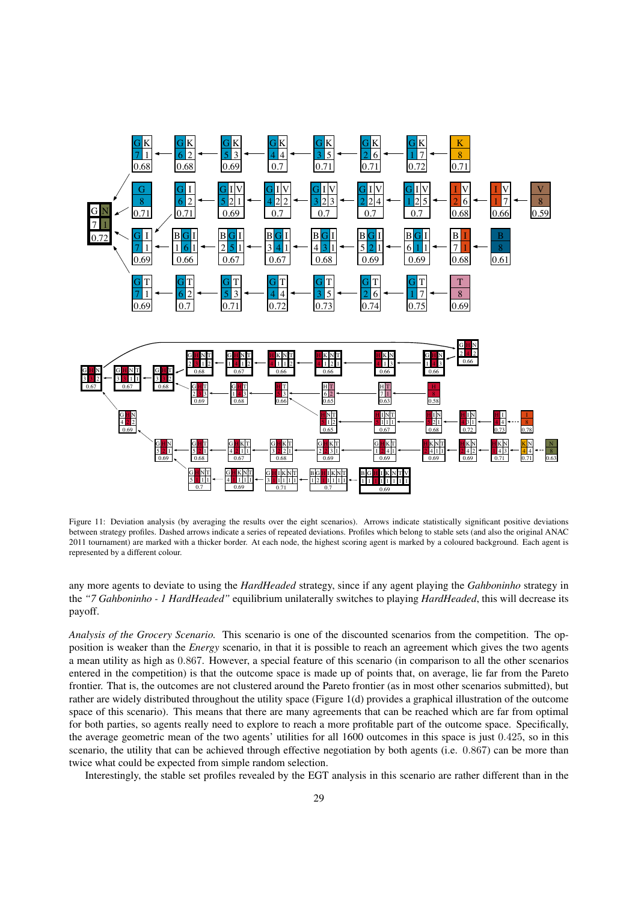

Figure 11: Deviation analysis (by averaging the results over the eight scenarios). Arrows indicate statistically significant positive deviations between strategy profiles. Dashed arrows indicate a series of repeated deviations. Profiles which belong to stable sets (and also the original ANAC 2011 tournament) are marked with a thicker border. At each node, the highest scoring agent is marked by a coloured background. Each agent is represented by a different colour.

any more agents to deviate to using the *HardHeaded* strategy, since if any agent playing the *Gahboninho* strategy in the *"7 Gahboninho - 1 HardHeaded"* equilibrium unilaterally switches to playing *HardHeaded*, this will decrease its payoff.

*Analysis of the Grocery Scenario.* This scenario is one of the discounted scenarios from the competition. The opposition is weaker than the *Energy* scenario, in that it is possible to reach an agreement which gives the two agents a mean utility as high as 0.867. However, a special feature of this scenario (in comparison to all the other scenarios entered in the competition) is that the outcome space is made up of points that, on average, lie far from the Pareto frontier. That is, the outcomes are not clustered around the Pareto frontier (as in most other scenarios submitted), but rather are widely distributed throughout the utility space (Figure 1(d) provides a graphical illustration of the outcome space of this scenario). This means that there are many agreements that can be reached which are far from optimal for both parties, so agents really need to explore to reach a more profitable part of the outcome space. Specifically, the average geometric mean of the two agents' utilities for all 1600 outcomes in this space is just 0.425, so in this scenario, the utility that can be achieved through effective negotiation by both agents (i.e. 0.867) can be more than twice what could be expected from simple random selection.

Interestingly, the stable set profiles revealed by the EGT analysis in this scenario are rather different than in the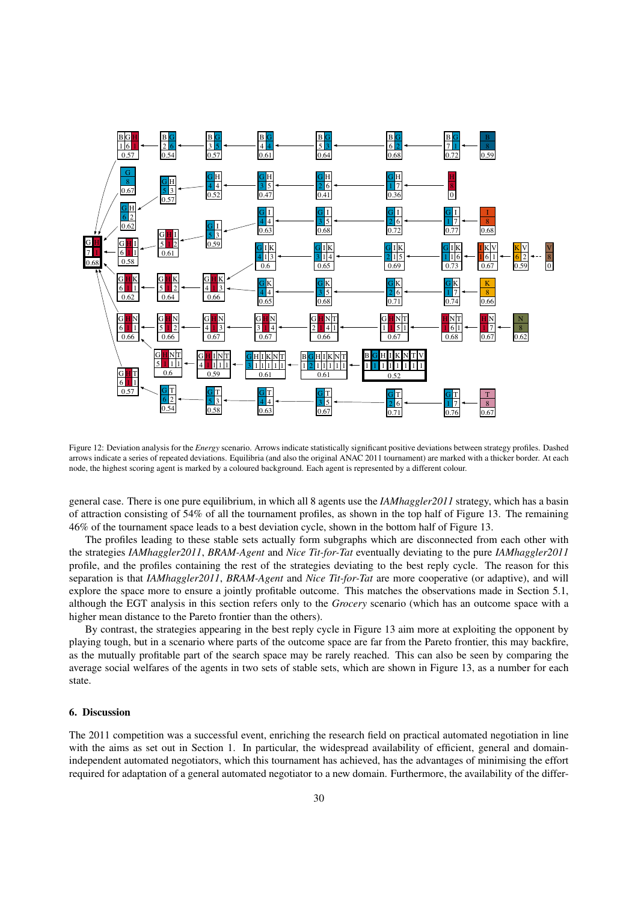

Figure 12: Deviation analysis for the *Energy* scenario. Arrows indicate statistically significant positive deviations between strategy profiles. Dashed arrows indicate a series of repeated deviations. Equilibria (and also the original ANAC 2011 tournament) are marked with a thicker border. At each node, the highest scoring agent is marked by a coloured background. Each agent is represented by a different colour.

general case. There is one pure equilibrium, in which all 8 agents use the *IAMhaggler2011* strategy, which has a basin of attraction consisting of 54% of all the tournament profiles, as shown in the top half of Figure 13. The remaining 46% of the tournament space leads to a best deviation cycle, shown in the bottom half of Figure 13.

The profiles leading to these stable sets actually form subgraphs which are disconnected from each other with the strategies *IAMhaggler2011*, *BRAM-Agent* and *Nice Tit-for-Tat* eventually deviating to the pure *IAMhaggler2011* profile, and the profiles containing the rest of the strategies deviating to the best reply cycle. The reason for this separation is that *IAMhaggler2011*, *BRAM-Agent* and *Nice Tit-for-Tat* are more cooperative (or adaptive), and will explore the space more to ensure a jointly profitable outcome. This matches the observations made in Section 5.1, although the EGT analysis in this section refers only to the *Grocery* scenario (which has an outcome space with a higher mean distance to the Pareto frontier than the others).

By contrast, the strategies appearing in the best reply cycle in Figure 13 aim more at exploiting the opponent by playing tough, but in a scenario where parts of the outcome space are far from the Pareto frontier, this may backfire, as the mutually profitable part of the search space may be rarely reached. This can also be seen by comparing the average social welfares of the agents in two sets of stable sets, which are shown in Figure 13, as a number for each state.

# 6. Discussion

The 2011 competition was a successful event, enriching the research field on practical automated negotiation in line with the aims as set out in Section 1. In particular, the widespread availability of efficient, general and domainindependent automated negotiators, which this tournament has achieved, has the advantages of minimising the effort required for adaptation of a general automated negotiator to a new domain. Furthermore, the availability of the differ-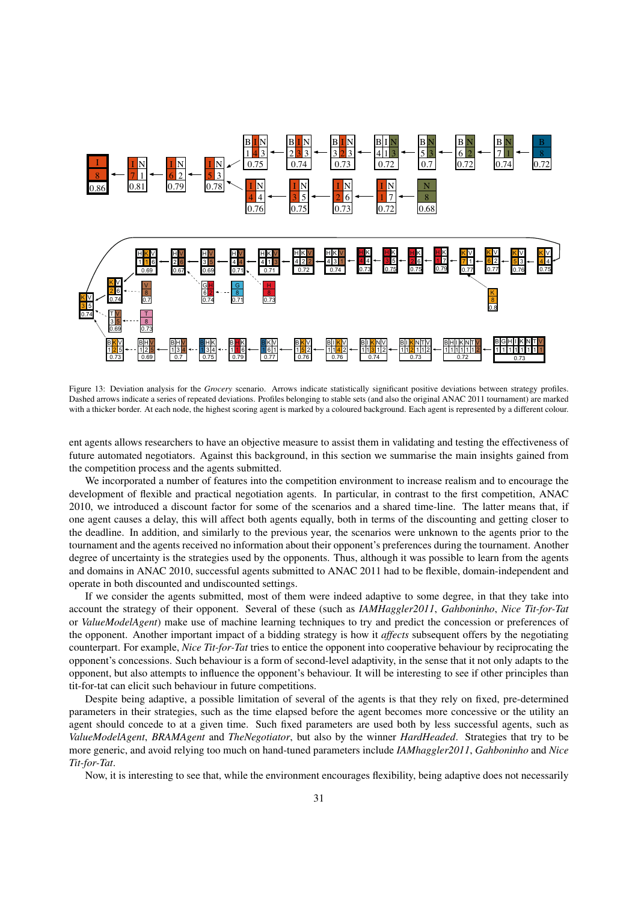

Figure 13: Deviation analysis for the *Grocery* scenario. Arrows indicate statistically significant positive deviations between strategy profiles. Dashed arrows indicate a series of repeated deviations. Profiles belonging to stable sets (and also the original ANAC 2011 tournament) are marked with a thicker border. At each node, the highest scoring agent is marked by a coloured background. Each agent is represented by a different colour.

ent agents allows researchers to have an objective measure to assist them in validating and testing the effectiveness of future automated negotiators. Against this background, in this section we summarise the main insights gained from the competition process and the agents submitted.

We incorporated a number of features into the competition environment to increase realism and to encourage the development of flexible and practical negotiation agents. In particular, in contrast to the first competition, ANAC 2010, we introduced a discount factor for some of the scenarios and a shared time-line. The latter means that, if one agent causes a delay, this will affect both agents equally, both in terms of the discounting and getting closer to the deadline. In addition, and similarly to the previous year, the scenarios were unknown to the agents prior to the tournament and the agents received no information about their opponent's preferences during the tournament. Another degree of uncertainty is the strategies used by the opponents. Thus, although it was possible to learn from the agents and domains in ANAC 2010, successful agents submitted to ANAC 2011 had to be flexible, domain-independent and operate in both discounted and undiscounted settings.

If we consider the agents submitted, most of them were indeed adaptive to some degree, in that they take into account the strategy of their opponent. Several of these (such as *IAMHaggler2011*, *Gahboninho*, *Nice Tit-for-Tat* or *ValueModelAgent*) make use of machine learning techniques to try and predict the concession or preferences of the opponent. Another important impact of a bidding strategy is how it *affects* subsequent offers by the negotiating counterpart. For example, *Nice Tit-for-Tat* tries to entice the opponent into cooperative behaviour by reciprocating the opponent's concessions. Such behaviour is a form of second-level adaptivity, in the sense that it not only adapts to the opponent, but also attempts to influence the opponent's behaviour. It will be interesting to see if other principles than tit-for-tat can elicit such behaviour in future competitions.

Despite being adaptive, a possible limitation of several of the agents is that they rely on fixed, pre-determined parameters in their strategies, such as the time elapsed before the agent becomes more concessive or the utility an agent should concede to at a given time. Such fixed parameters are used both by less successful agents, such as *ValueModelAgent*, *BRAMAgent* and *TheNegotiator*, but also by the winner *HardHeaded*. Strategies that try to be more generic, and avoid relying too much on hand-tuned parameters include *IAMhaggler2011*, *Gahboninho* and *Nice Tit-for-Tat*.

Now, it is interesting to see that, while the environment encourages flexibility, being adaptive does not necessarily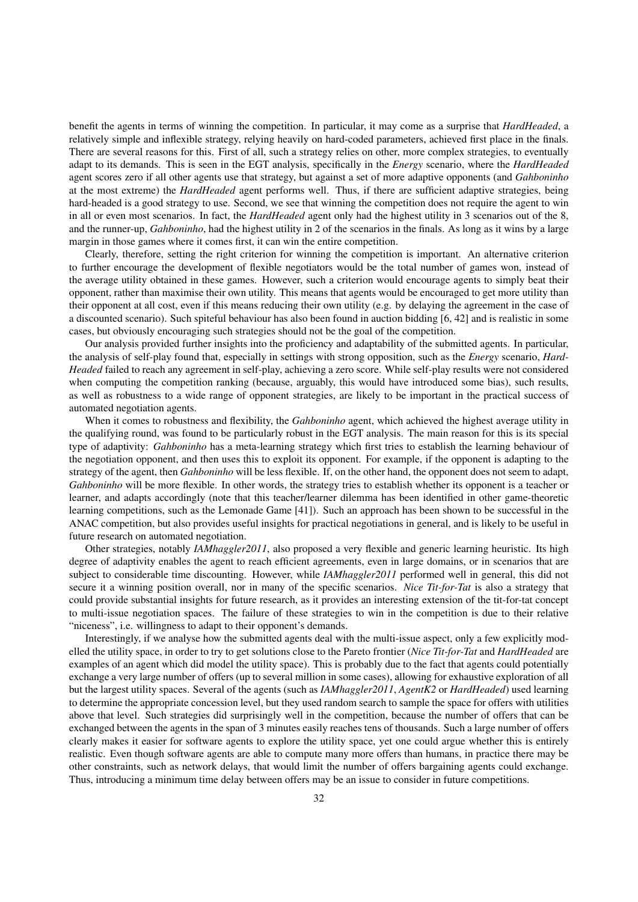benefit the agents in terms of winning the competition. In particular, it may come as a surprise that *HardHeaded*, a relatively simple and inflexible strategy, relying heavily on hard-coded parameters, achieved first place in the finals. There are several reasons for this. First of all, such a strategy relies on other, more complex strategies, to eventually adapt to its demands. This is seen in the EGT analysis, specifically in the *Energy* scenario, where the *HardHeaded* agent scores zero if all other agents use that strategy, but against a set of more adaptive opponents (and *Gahboninho* at the most extreme) the *HardHeaded* agent performs well. Thus, if there are sufficient adaptive strategies, being hard-headed is a good strategy to use. Second, we see that winning the competition does not require the agent to win in all or even most scenarios. In fact, the *HardHeaded* agent only had the highest utility in 3 scenarios out of the 8, and the runner-up, *Gahboninho*, had the highest utility in 2 of the scenarios in the finals. As long as it wins by a large margin in those games where it comes first, it can win the entire competition.

Clearly, therefore, setting the right criterion for winning the competition is important. An alternative criterion to further encourage the development of flexible negotiators would be the total number of games won, instead of the average utility obtained in these games. However, such a criterion would encourage agents to simply beat their opponent, rather than maximise their own utility. This means that agents would be encouraged to get more utility than their opponent at all cost, even if this means reducing their own utility (e.g. by delaying the agreement in the case of a discounted scenario). Such spiteful behaviour has also been found in auction bidding [6, 42] and is realistic in some cases, but obviously encouraging such strategies should not be the goal of the competition.

Our analysis provided further insights into the proficiency and adaptability of the submitted agents. In particular, the analysis of self-play found that, especially in settings with strong opposition, such as the *Energy* scenario, *Hard-Headed* failed to reach any agreement in self-play, achieving a zero score. While self-play results were not considered when computing the competition ranking (because, arguably, this would have introduced some bias), such results, as well as robustness to a wide range of opponent strategies, are likely to be important in the practical success of automated negotiation agents.

When it comes to robustness and flexibility, the *Gahboninho* agent, which achieved the highest average utility in the qualifying round, was found to be particularly robust in the EGT analysis. The main reason for this is its special type of adaptivity: *Gahboninho* has a meta-learning strategy which first tries to establish the learning behaviour of the negotiation opponent, and then uses this to exploit its opponent. For example, if the opponent is adapting to the strategy of the agent, then *Gahboninho* will be less flexible. If, on the other hand, the opponent does not seem to adapt, *Gahboninho* will be more flexible. In other words, the strategy tries to establish whether its opponent is a teacher or learner, and adapts accordingly (note that this teacher/learner dilemma has been identified in other game-theoretic learning competitions, such as the Lemonade Game [41]). Such an approach has been shown to be successful in the ANAC competition, but also provides useful insights for practical negotiations in general, and is likely to be useful in future research on automated negotiation.

Other strategies, notably *IAMhaggler2011*, also proposed a very flexible and generic learning heuristic. Its high degree of adaptivity enables the agent to reach efficient agreements, even in large domains, or in scenarios that are subject to considerable time discounting. However, while *IAMhaggler2011* performed well in general, this did not secure it a winning position overall, nor in many of the specific scenarios. *Nice Tit-for-Tat* is also a strategy that could provide substantial insights for future research, as it provides an interesting extension of the tit-for-tat concept to multi-issue negotiation spaces. The failure of these strategies to win in the competition is due to their relative "niceness", i.e. willingness to adapt to their opponent's demands.

Interestingly, if we analyse how the submitted agents deal with the multi-issue aspect, only a few explicitly modelled the utility space, in order to try to get solutions close to the Pareto frontier (*Nice Tit-for-Tat* and *HardHeaded* are examples of an agent which did model the utility space). This is probably due to the fact that agents could potentially exchange a very large number of offers (up to several million in some cases), allowing for exhaustive exploration of all but the largest utility spaces. Several of the agents (such as *IAMhaggler2011*, *AgentK2* or *HardHeaded*) used learning to determine the appropriate concession level, but they used random search to sample the space for offers with utilities above that level. Such strategies did surprisingly well in the competition, because the number of offers that can be exchanged between the agents in the span of 3 minutes easily reaches tens of thousands. Such a large number of offers clearly makes it easier for software agents to explore the utility space, yet one could argue whether this is entirely realistic. Even though software agents are able to compute many more offers than humans, in practice there may be other constraints, such as network delays, that would limit the number of offers bargaining agents could exchange. Thus, introducing a minimum time delay between offers may be an issue to consider in future competitions.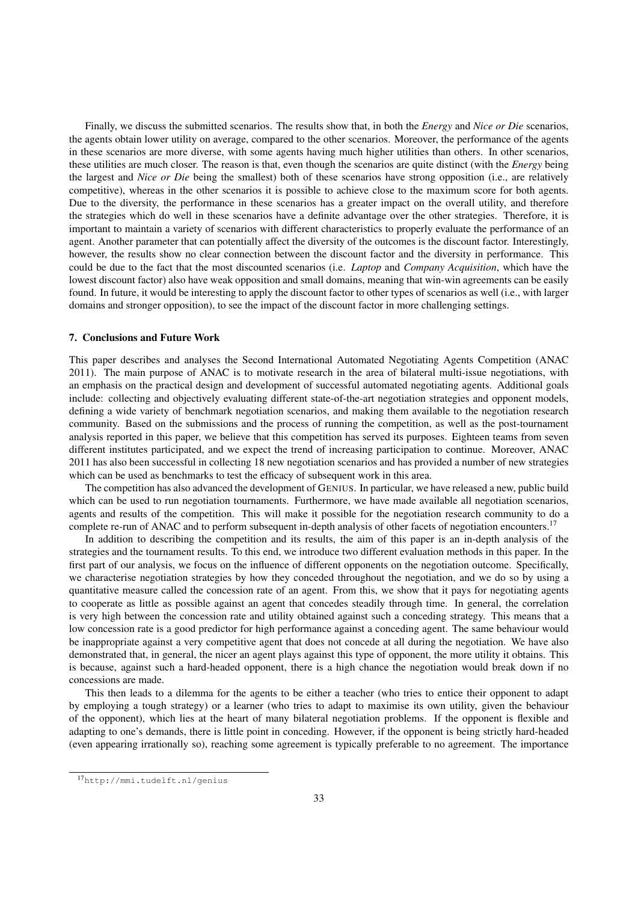Finally, we discuss the submitted scenarios. The results show that, in both the *Energy* and *Nice or Die* scenarios, the agents obtain lower utility on average, compared to the other scenarios. Moreover, the performance of the agents in these scenarios are more diverse, with some agents having much higher utilities than others. In other scenarios, these utilities are much closer. The reason is that, even though the scenarios are quite distinct (with the *Energy* being the largest and *Nice or Die* being the smallest) both of these scenarios have strong opposition (i.e., are relatively competitive), whereas in the other scenarios it is possible to achieve close to the maximum score for both agents. Due to the diversity, the performance in these scenarios has a greater impact on the overall utility, and therefore the strategies which do well in these scenarios have a definite advantage over the other strategies. Therefore, it is important to maintain a variety of scenarios with different characteristics to properly evaluate the performance of an agent. Another parameter that can potentially affect the diversity of the outcomes is the discount factor. Interestingly, however, the results show no clear connection between the discount factor and the diversity in performance. This could be due to the fact that the most discounted scenarios (i.e. *Laptop* and *Company Acquisition*, which have the lowest discount factor) also have weak opposition and small domains, meaning that win-win agreements can be easily found. In future, it would be interesting to apply the discount factor to other types of scenarios as well (i.e., with larger domains and stronger opposition), to see the impact of the discount factor in more challenging settings.

# 7. Conclusions and Future Work

This paper describes and analyses the Second International Automated Negotiating Agents Competition (ANAC 2011). The main purpose of ANAC is to motivate research in the area of bilateral multi-issue negotiations, with an emphasis on the practical design and development of successful automated negotiating agents. Additional goals include: collecting and objectively evaluating different state-of-the-art negotiation strategies and opponent models, defining a wide variety of benchmark negotiation scenarios, and making them available to the negotiation research community. Based on the submissions and the process of running the competition, as well as the post-tournament analysis reported in this paper, we believe that this competition has served its purposes. Eighteen teams from seven different institutes participated, and we expect the trend of increasing participation to continue. Moreover, ANAC 2011 has also been successful in collecting 18 new negotiation scenarios and has provided a number of new strategies which can be used as benchmarks to test the efficacy of subsequent work in this area.

The competition has also advanced the development of GENIUS. In particular, we have released a new, public build which can be used to run negotiation tournaments. Furthermore, we have made available all negotiation scenarios, agents and results of the competition. This will make it possible for the negotiation research community to do a complete re-run of ANAC and to perform subsequent in-depth analysis of other facets of negotiation encounters.<sup>17</sup>

In addition to describing the competition and its results, the aim of this paper is an in-depth analysis of the strategies and the tournament results. To this end, we introduce two different evaluation methods in this paper. In the first part of our analysis, we focus on the influence of different opponents on the negotiation outcome. Specifically, we characterise negotiation strategies by how they conceded throughout the negotiation, and we do so by using a quantitative measure called the concession rate of an agent. From this, we show that it pays for negotiating agents to cooperate as little as possible against an agent that concedes steadily through time. In general, the correlation is very high between the concession rate and utility obtained against such a conceding strategy. This means that a low concession rate is a good predictor for high performance against a conceding agent. The same behaviour would be inappropriate against a very competitive agent that does not concede at all during the negotiation. We have also demonstrated that, in general, the nicer an agent plays against this type of opponent, the more utility it obtains. This is because, against such a hard-headed opponent, there is a high chance the negotiation would break down if no concessions are made.

This then leads to a dilemma for the agents to be either a teacher (who tries to entice their opponent to adapt by employing a tough strategy) or a learner (who tries to adapt to maximise its own utility, given the behaviour of the opponent), which lies at the heart of many bilateral negotiation problems. If the opponent is flexible and adapting to one's demands, there is little point in conceding. However, if the opponent is being strictly hard-headed (even appearing irrationally so), reaching some agreement is typically preferable to no agreement. The importance

<sup>17</sup>http://mmi.tudelft.nl/genius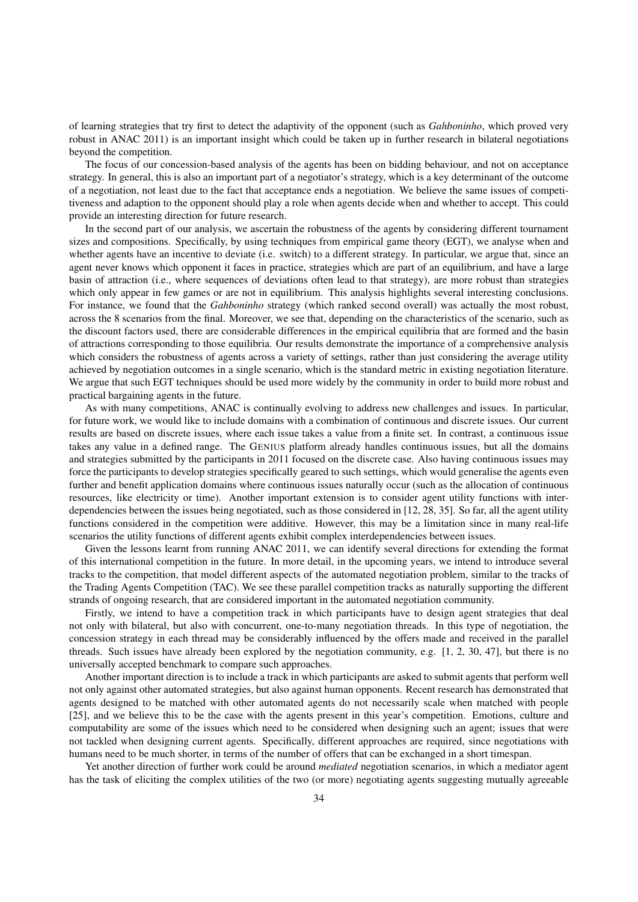of learning strategies that try first to detect the adaptivity of the opponent (such as *Gahboninho*, which proved very robust in ANAC 2011) is an important insight which could be taken up in further research in bilateral negotiations beyond the competition.

The focus of our concession-based analysis of the agents has been on bidding behaviour, and not on acceptance strategy. In general, this is also an important part of a negotiator's strategy, which is a key determinant of the outcome of a negotiation, not least due to the fact that acceptance ends a negotiation. We believe the same issues of competitiveness and adaption to the opponent should play a role when agents decide when and whether to accept. This could provide an interesting direction for future research.

In the second part of our analysis, we ascertain the robustness of the agents by considering different tournament sizes and compositions. Specifically, by using techniques from empirical game theory (EGT), we analyse when and whether agents have an incentive to deviate (i.e. switch) to a different strategy. In particular, we argue that, since an agent never knows which opponent it faces in practice, strategies which are part of an equilibrium, and have a large basin of attraction (i.e., where sequences of deviations often lead to that strategy), are more robust than strategies which only appear in few games or are not in equilibrium. This analysis highlights several interesting conclusions. For instance, we found that the *Gahboninho* strategy (which ranked second overall) was actually the most robust, across the 8 scenarios from the final. Moreover, we see that, depending on the characteristics of the scenario, such as the discount factors used, there are considerable differences in the empirical equilibria that are formed and the basin of attractions corresponding to those equilibria. Our results demonstrate the importance of a comprehensive analysis which considers the robustness of agents across a variety of settings, rather than just considering the average utility achieved by negotiation outcomes in a single scenario, which is the standard metric in existing negotiation literature. We argue that such EGT techniques should be used more widely by the community in order to build more robust and practical bargaining agents in the future.

As with many competitions, ANAC is continually evolving to address new challenges and issues. In particular, for future work, we would like to include domains with a combination of continuous and discrete issues. Our current results are based on discrete issues, where each issue takes a value from a finite set. In contrast, a continuous issue takes any value in a defined range. The GENIUS platform already handles continuous issues, but all the domains and strategies submitted by the participants in 2011 focused on the discrete case. Also having continuous issues may force the participants to develop strategies specifically geared to such settings, which would generalise the agents even further and benefit application domains where continuous issues naturally occur (such as the allocation of continuous resources, like electricity or time). Another important extension is to consider agent utility functions with interdependencies between the issues being negotiated, such as those considered in [12, 28, 35]. So far, all the agent utility functions considered in the competition were additive. However, this may be a limitation since in many real-life scenarios the utility functions of different agents exhibit complex interdependencies between issues.

Given the lessons learnt from running ANAC 2011, we can identify several directions for extending the format of this international competition in the future. In more detail, in the upcoming years, we intend to introduce several tracks to the competition, that model different aspects of the automated negotiation problem, similar to the tracks of the Trading Agents Competition (TAC). We see these parallel competition tracks as naturally supporting the different strands of ongoing research, that are considered important in the automated negotiation community.

Firstly, we intend to have a competition track in which participants have to design agent strategies that deal not only with bilateral, but also with concurrent, one-to-many negotiation threads. In this type of negotiation, the concession strategy in each thread may be considerably influenced by the offers made and received in the parallel threads. Such issues have already been explored by the negotiation community, e.g. [1, 2, 30, 47], but there is no universally accepted benchmark to compare such approaches.

Another important direction is to include a track in which participants are asked to submit agents that perform well not only against other automated strategies, but also against human opponents. Recent research has demonstrated that agents designed to be matched with other automated agents do not necessarily scale when matched with people [25], and we believe this to be the case with the agents present in this year's competition. Emotions, culture and computability are some of the issues which need to be considered when designing such an agent; issues that were not tackled when designing current agents. Specifically, different approaches are required, since negotiations with humans need to be much shorter, in terms of the number of offers that can be exchanged in a short timespan.

Yet another direction of further work could be around *mediated* negotiation scenarios, in which a mediator agent has the task of eliciting the complex utilities of the two (or more) negotiating agents suggesting mutually agreeable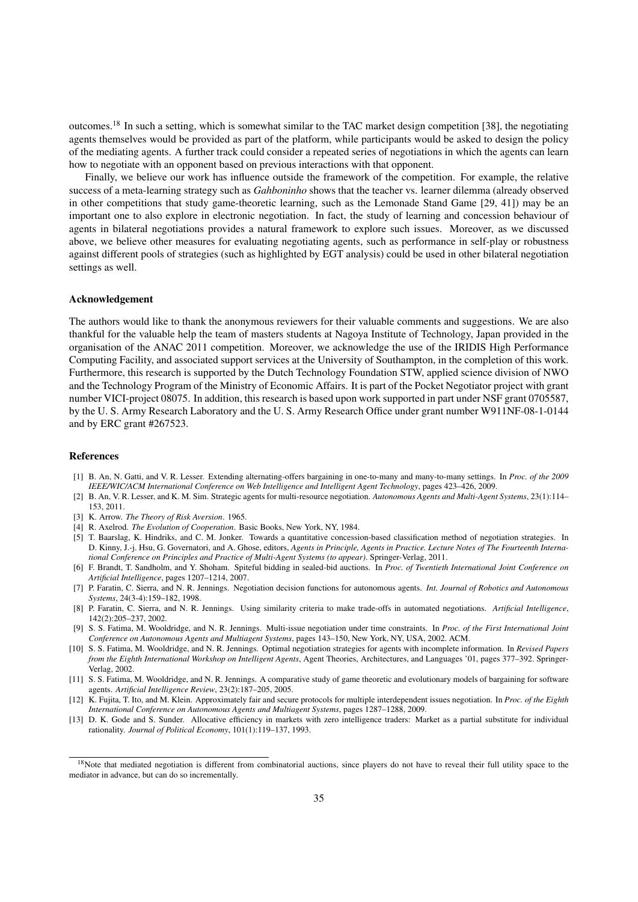outcomes.<sup>18</sup> In such a setting, which is somewhat similar to the TAC market design competition [38], the negotiating agents themselves would be provided as part of the platform, while participants would be asked to design the policy of the mediating agents. A further track could consider a repeated series of negotiations in which the agents can learn how to negotiate with an opponent based on previous interactions with that opponent.

Finally, we believe our work has influence outside the framework of the competition. For example, the relative success of a meta-learning strategy such as *Gahboninho* shows that the teacher vs. learner dilemma (already observed in other competitions that study game-theoretic learning, such as the Lemonade Stand Game [29, 41]) may be an important one to also explore in electronic negotiation. In fact, the study of learning and concession behaviour of agents in bilateral negotiations provides a natural framework to explore such issues. Moreover, as we discussed above, we believe other measures for evaluating negotiating agents, such as performance in self-play or robustness against different pools of strategies (such as highlighted by EGT analysis) could be used in other bilateral negotiation settings as well.

#### Acknowledgement

The authors would like to thank the anonymous reviewers for their valuable comments and suggestions. We are also thankful for the valuable help the team of masters students at Nagoya Institute of Technology, Japan provided in the organisation of the ANAC 2011 competition. Moreover, we acknowledge the use of the IRIDIS High Performance Computing Facility, and associated support services at the University of Southampton, in the completion of this work. Furthermore, this research is supported by the Dutch Technology Foundation STW, applied science division of NWO and the Technology Program of the Ministry of Economic Affairs. It is part of the Pocket Negotiator project with grant number VICI-project 08075. In addition, this research is based upon work supported in part under NSF grant 0705587, by the U. S. Army Research Laboratory and the U. S. Army Research Office under grant number W911NF-08-1-0144 and by ERC grant #267523.

#### References

- [1] B. An, N. Gatti, and V. R. Lesser. Extending alternating-offers bargaining in one-to-many and many-to-many settings. In *Proc. of the 2009 IEEE/WIC/ACM International Conference on Web Intelligence and Intelligent Agent Technology*, pages 423–426, 2009.
- [2] B. An, V. R. Lesser, and K. M. Sim. Strategic agents for multi-resource negotiation. *Autonomous Agents and Multi-Agent Systems*, 23(1):114– 153, 2011.
- [3] K. Arrow. *The Theory of Risk Aversion*. 1965.
- [4] R. Axelrod. *The Evolution of Cooperation*. Basic Books, New York, NY, 1984.
- [5] T. Baarslag, K. Hindriks, and C. M. Jonker. Towards a quantitative concession-based classification method of negotiation strategies. In D. Kinny, J.-j. Hsu, G. Governatori, and A. Ghose, editors, *Agents in Principle, Agents in Practice. Lecture Notes of The Fourteenth International Conference on Principles and Practice of Multi-Agent Systems (to appear)*. Springer-Verlag, 2011.
- [6] F. Brandt, T. Sandholm, and Y. Shoham. Spiteful bidding in sealed-bid auctions. In *Proc. of Twentieth International Joint Conference on Artificial Intelligence*, pages 1207–1214, 2007.
- [7] P. Faratin, C. Sierra, and N. R. Jennings. Negotiation decision functions for autonomous agents. *Int. Journal of Robotics and Autonomous Systems*, 24(3-4):159–182, 1998.
- [8] P. Faratin, C. Sierra, and N. R. Jennings. Using similarity criteria to make trade-offs in automated negotiations. *Artificial Intelligence*, 142(2):205–237, 2002.
- [9] S. S. Fatima, M. Wooldridge, and N. R. Jennings. Multi-issue negotiation under time constraints. In *Proc. of the First International Joint Conference on Autonomous Agents and Multiagent Systems*, pages 143–150, New York, NY, USA, 2002. ACM.
- [10] S. S. Fatima, M. Wooldridge, and N. R. Jennings. Optimal negotiation strategies for agents with incomplete information. In *Revised Papers from the Eighth International Workshop on Intelligent Agents*, Agent Theories, Architectures, and Languages '01, pages 377–392. Springer-Verlag, 2002.
- [11] S. S. Fatima, M. Wooldridge, and N. R. Jennings. A comparative study of game theoretic and evolutionary models of bargaining for software agents. *Artificial Intelligence Review*, 23(2):187–205, 2005.
- [12] K. Fujita, T. Ito, and M. Klein. Approximately fair and secure protocols for multiple interdependent issues negotiation. In *Proc. of the Eighth International Conference on Autonomous Agents and Multiagent Systems*, pages 1287–1288, 2009.
- [13] D. K. Gode and S. Sunder. Allocative efficiency in markets with zero intelligence traders: Market as a partial substitute for individual rationality. *Journal of Political Economy*, 101(1):119–137, 1993.

<sup>&</sup>lt;sup>18</sup>Note that mediated negotiation is different from combinatorial auctions, since players do not have to reveal their full utility space to the mediator in advance, but can do so incrementally.